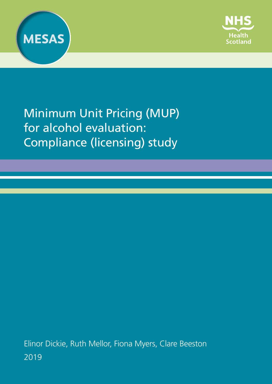



Minimum Unit Pricing (MUP) for alcohol evaluation: Compliance (licensing) study

Elinor Dickie, Ruth Mellor, Fiona Myers, Clare Beeston 2019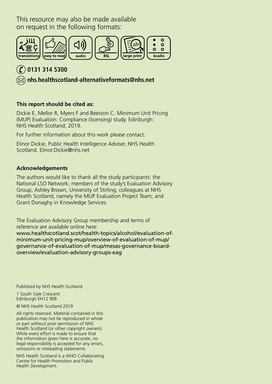This resource may also be made available on request in the following formats:



## **0131 314 5300**

 **[nhs.healthscotland-alternativeformats@nhs.net](mailto:nhs.healthscotland-alternativeformats%40nhs.net?subject=)**

#### **This report should be cited as:**

Dickie E, Mellor R, Myers F and Beeston C. Minimum Unit Pricing (MUP) Evaluation: Compliance (licensing) study. Edinburgh: NHS Health Scotland; 2019.

For further information about this work please contact:

Elinor Dickie, Public Health Intelligence Adviser, NHS Health Scotland. Elinor.Dickie@nhs.net

#### **Acknowledgements**

The authors would like to thank all the study participants: the National LSO Network; members of the study's Evaluation Advisory Group; Ashley Brown, University of Stirling; colleagues at NHS Health Scotland, namely the MUP Evaluation Project Team; and Grant Donaghy in Knowledge Services.

The Evaluation Advisory Group membership and terms of reference are available online here: www.healthscotland.scot/health-topics/alcohol/evaluation-ofminimum-unit-pricing-mup/overview-of-evaluation-of-mup/ governance-of-evaluation-of-mup/mesas-governance-boardoverview/evaluation-advisory-groups-eag

Published by NHS Health Scotland

1 South Gyle Crescent Edinburgh EH12 9EB

© NHS Health Scotland 2019

All rights reserved. Material contained in this publication may not be reproduced in whole or part without prior permission of NHS Health Scotland (or other copyright owners). While every effort is made to ensure that the information given here is accurate, no legal responsibility is accepted for any errors, omissions or misleading statements.

NHS Health Scotland is a WHO Collaborating Centre for Health Promotion and Public Health Development.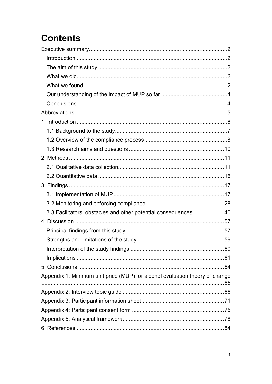# **Contents**

| 3.3 Facilitators, obstacles and other potential consequences 40              |  |
|------------------------------------------------------------------------------|--|
|                                                                              |  |
|                                                                              |  |
|                                                                              |  |
|                                                                              |  |
|                                                                              |  |
|                                                                              |  |
| Appendix 1: Minimum unit price (MUP) for alcohol evaluation theory of change |  |
|                                                                              |  |
|                                                                              |  |
|                                                                              |  |
|                                                                              |  |
|                                                                              |  |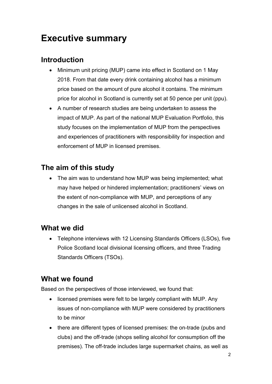## <span id="page-3-0"></span>**Executive summary**

## <span id="page-3-1"></span>**Introduction**

- Minimum unit pricing (MUP) came into effect in Scotland on 1 May 2018. From that date every drink containing alcohol has a minimum price based on the amount of pure alcohol it contains. The minimum price for alcohol in Scotland is currently set at 50 pence per unit (ppu).
- A number of research studies are being undertaken to assess the impact of MUP. As part of the national MUP Evaluation Portfolio, this study focuses on the implementation of MUP from the perspectives and experiences of practitioners with responsibility for inspection and enforcement of MUP in licensed premises.

## <span id="page-3-2"></span>**The aim of this study**

• The aim was to understand how MUP was being implemented; what may have helped or hindered implementation; practitioners' views on the extent of non-compliance with MUP, and perceptions of any changes in the sale of unlicensed alcohol in Scotland.

#### <span id="page-3-3"></span>**What we did**

• Telephone interviews with 12 Licensing Standards Officers (LSOs), five Police Scotland local divisional licensing officers, and three Trading Standards Officers (TSOs).

### <span id="page-3-4"></span>**What we found**

Based on the perspectives of those interviewed, we found that:

- licensed premises were felt to be largely compliant with MUP. Any issues of non-compliance with MUP were considered by practitioners to be minor
- there are different types of licensed premises: the on-trade (pubs and clubs) and the off-trade (shops selling alcohol for consumption off the premises). The off-trade includes large supermarket chains, as well as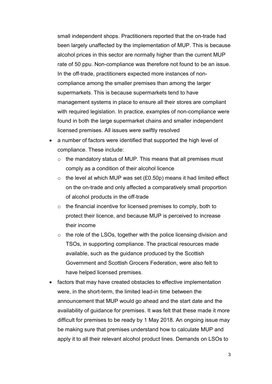small independent shops. Practitioners reported that the on-trade had been largely unaffected by the implementation of MUP. This is because alcohol prices in this sector are normally higher than the current MUP rate of 50 ppu. Non-compliance was therefore not found to be an issue. In the off-trade, practitioners expected more instances of noncompliance among the smaller premises than among the larger supermarkets. This is because supermarkets tend to have management systems in place to ensure all their stores are compliant with required legislation. In practice, examples of non-compliance were found in both the large supermarket chains and smaller independent licensed premises. All issues were swiftly resolved

- a number of factors were identified that supported the high level of compliance. These include:
	- $\circ$  the mandatory status of MUP. This means that all premises must comply as a condition of their alcohol licence
	- $\circ$  the level at which MUP was set (£0.50p) means it had limited effect on the on-trade and only affected a comparatively small proportion of alcohol products in the off-trade
	- $\circ$  the financial incentive for licensed premises to comply, both to protect their licence, and because MUP is perceived to increase their income
	- o the role of the LSOs, together with the police licensing division and TSOs, in supporting compliance. The practical resources made available, such as the guidance produced by the Scottish Government and Scottish Grocers Federation, were also felt to have helped licensed premises.
- factors that may have created obstacles to effective implementation were, in the short-term, the limited lead-in time between the announcement that MUP would go ahead and the start date and the availability of guidance for premises. It was felt that these made it more difficult for premises to be ready by 1 May 2018. An ongoing issue may be making sure that premises understand how to calculate MUP and apply it to all their relevant alcohol product lines. Demands on LSOs to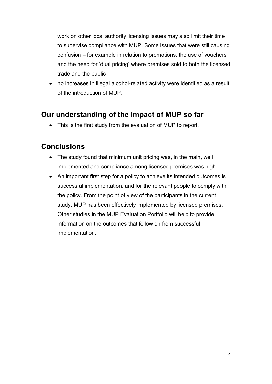work on other local authority licensing issues may also limit their time to supervise compliance with MUP. Some issues that were still causing confusion – for example in relation to promotions, the use of vouchers and the need for 'dual pricing' where premises sold to both the licensed trade and the public

• no increases in illegal alcohol-related activity were identified as a result of the introduction of MUP.

### <span id="page-5-0"></span>**Our understanding of the impact of MUP so far**

• This is the first study from the evaluation of MUP to report.

### <span id="page-5-1"></span>**Conclusions**

- The study found that minimum unit pricing was, in the main, well implemented and compliance among licensed premises was high.
- An important first step for a policy to achieve its intended outcomes is successful implementation, and for the relevant people to comply with the policy. From the point of view of the participants in the current study, MUP has been effectively implemented by licensed premises. Other studies in the MUP Evaluation Portfolio will help to provide information on the outcomes that follow on from successful implementation.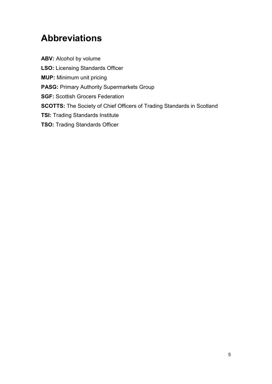# <span id="page-6-0"></span>**Abbreviations**

**ABV:** Alcohol by volume **LSO:** Licensing Standards Officer **MUP:** Minimum unit pricing **PASG:** Primary Authority Supermarkets Group **SGF:** Scottish Grocers Federation **SCOTTS:** The Society of Chief Officers of Trading Standards in Scotland **TSI:** Trading Standards Institute **TSO:** Trading Standards Officer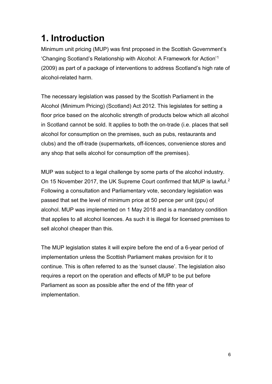# <span id="page-7-0"></span>**1. Introduction**

Minimum unit pricing (MUP) was first proposed in the Scottish Government's 'Changing Scotland's Relationship with Alcohol: A Framework for Action'[1](#page-86-0) (2009) as part of a package of interventions to address Scotland's high rate of alcohol-related harm.

The necessary legislation was passed by the Scottish Parliament in the Alcohol (Minimum Pricing) (Scotland) Act 2012. This legislates for setting a floor price based on the alcoholic strength of products below which all alcohol in Scotland cannot be sold. It applies to both the on-trade (i.e. places that sell alcohol for consumption on the premises, such as pubs, restaurants and clubs) and the off-trade (supermarkets, off-licences, convenience stores and any shop that sells alcohol for consumption off the premises).

MUP was subject to a legal challenge by some parts of the alcohol industry. On 15 November 2017, the UK Supreme Court confirmed that MUP is lawful.[2](#page-86-1) Following a consultation and Parliamentary vote, secondary legislation was passed that set the level of minimum price at 50 pence per unit (ppu) of alcohol. MUP was implemented on 1 May 2018 and is a mandatory condition that applies to all alcohol licences. As such it is illegal for licensed premises to sell alcohol cheaper than this.

The MUP legislation states it will expire before the end of a 6-year period of implementation unless the Scottish Parliament makes provision for it to continue. This is often referred to as the 'sunset clause'. The legislation also requires a report on the operation and effects of MUP to be put before Parliament as soon as possible after the end of the fifth year of implementation.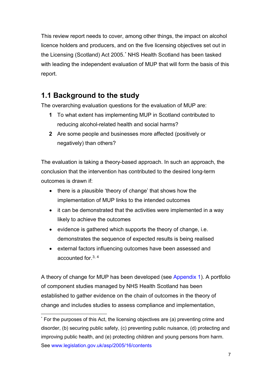This review report needs to cover, among other things, the impact on alcohol licence holders and producers, and on the five licensing objectives set out in the Licensing (Scotland) Act 2005.[\\*](#page-8-1) NHS Health Scotland has been tasked with leading the independent evaluation of MUP that will form the basis of this report.

### <span id="page-8-0"></span>**1.1 Background to the study**

The overarching evaluation questions for the evaluation of MUP are:

- **1** To what extent has implementing MUP in Scotland contributed to reducing alcohol-related health and social harms?
- **2** Are some people and businesses more affected (positively or negatively) than others?

The evaluation is taking a theory-based approach. In such an approach, the conclusion that the intervention has contributed to the desired long-term outcomes is drawn if:

- there is a plausible 'theory of change' that shows how the implementation of MUP links to the intended outcomes
- it can be demonstrated that the activities were implemented in a way likely to achieve the outcomes
- evidence is gathered which supports the theory of change, i.e. demonstrates the sequence of expected results is being realised
- external factors influencing outcomes have been assessed and accounted for.[3,](#page-86-2) [4](#page-86-3)

A theory of change for MUP has been developed (see [Appendix 1\)](#page-66-0). A portfolio of component studies managed by NHS Health Scotland has been established to gather evidence on the chain of outcomes in the theory of change and includes studies to assess compliance and implementation,

<span id="page-8-1"></span> <sup>\*</sup> For the purposes of this Act, the licensing objectives are (a) preventing crime and disorder, (b) securing public safety, (c) preventing public nuisance, (d) protecting and improving public health, and (e) protecting children and young persons from harm. See [www.legislation.gov.uk/asp/2005/16/contents](http://www.legislation.gov.uk/asp/2005/16/contents)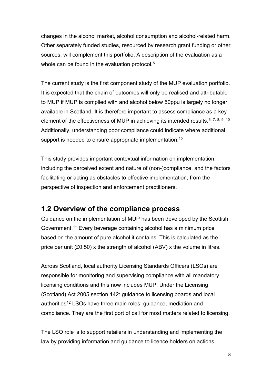changes in the alcohol market, alcohol consumption and alcohol-related harm. Other separately funded studies, resourced by research grant funding or other sources, will complement this portfolio. A description of the evaluation as a whole can be found in the evaluation protocol.<sup>[5](#page-86-4)</sup>

The current study is the first component study of the MUP evaluation portfolio. It is expected that the chain of outcomes will only be realised and attributable to MUP if MUP is complied with and alcohol below 50ppu is largely no longer available in Scotland. It is therefore important to assess compliance as a key element of the effectiveness of MUP in achieving its intended results. [6](#page-86-5), [7,](#page-86-6) [8,](#page-86-7) [9](#page-86-8), [10](#page-86-9) Additionally, understanding poor compliance could indicate where additional support is needed to ensure appropriate implementation.<sup>10</sup>

<span id="page-9-2"></span><span id="page-9-1"></span>This study provides important contextual information on implementation, including the perceived extent and nature of (non-)compliance, and the factors facilitating or acting as obstacles to effective implementation, from the perspective of inspection and enforcement practitioners.

### <span id="page-9-0"></span>**1.2 Overview of the compliance process**

Guidance on the implementation of MUP has been developed by the Scottish Government.[11](#page-86-10) Every beverage containing alcohol has a minimum price based on the amount of pure alcohol it contains. This is calculated as the price per unit (£0.50) x the strength of alcohol (ABV) x the volume in litres.

Across Scotland, local authority Licensing Standards Officers (LSOs) are responsible for monitoring and supervising compliance with all mandatory licensing conditions and this now includes MUP. Under the Licensing (Scotland) Act 2005 section 142: guidance to licensing boards and local authorities<sup>[12](#page-86-11)</sup> LSOs have three main roles: guidance, mediation and compliance. They are the first port of call for most matters related to licensing.

The LSO role is to support retailers in understanding and implementing the law by providing information and guidance to licence holders on actions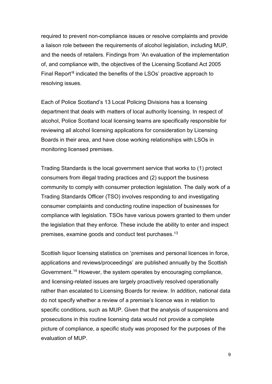required to prevent non-compliance issues or resolve complaints and provide a liaison role between the requirements of alcohol legislation, including MUP, and the needs of retailers. Findings from 'An evaluation of the implementation of, and compliance with, the objectives of the Licensing Scotland Act 2005 Final Report['8](#page-9-2) indicated the benefits of the LSOs' proactive approach to resolving issues.

Each of Police Scotland's 13 Local Policing Divisions has a licensing department that deals with matters of local authority licensing. In respect of alcohol, Police Scotland local licensing teams are specifically responsible for reviewing all alcohol licensing applications for consideration by Licensing Boards in their area, and have close working relationships with LSOs in monitoring licensed premises.

Trading Standards is the local government service that works to (1) protect consumers from illegal trading practices and (2) support the business community to comply with consumer protection legislation. The daily work of a Trading Standards Officer (TSO) involves responding to and investigating consumer complaints and conducting routine inspection of businesses for compliance with legislation. TSOs have various powers granted to them under the legislation that they enforce. These include the ability to enter and inspect premises, examine goods and conduct test purchases.[13](#page-86-12)

Scottish liquor licensing statistics on 'premises and personal licences in force, applications and reviews/proceedings' are published annually by the Scottish Government.[14](#page-86-13) However, the system operates by encouraging compliance, and licensing-related issues are largely proactively resolved operationally rather than escalated to Licensing Boards for review. In addition, national data do not specify whether a review of a premise's licence was in relation to specific conditions, such as MUP. Given that the analysis of suspensions and prosecutions in this routine licensing data would not provide a complete picture of compliance, a specific study was proposed for the purposes of the evaluation of MUP.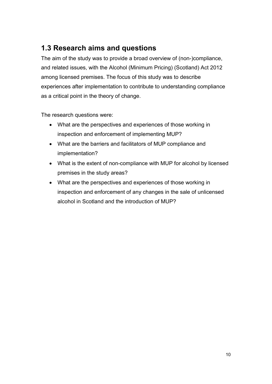## <span id="page-11-0"></span>**1.3 Research aims and questions**

The aim of the study was to provide a broad overview of (non-)compliance, and related issues, with the Alcohol (Minimum Pricing) (Scotland) Act 2012 among licensed premises. The focus of this study was to describe experiences after implementation to contribute to understanding compliance as a critical point in the theory of change.

The research questions were:

- What are the perspectives and experiences of those working in inspection and enforcement of implementing MUP?
- What are the barriers and facilitators of MUP compliance and implementation?
- What is the extent of non-compliance with MUP for alcohol by licensed premises in the study areas?
- What are the perspectives and experiences of those working in inspection and enforcement of any changes in the sale of unlicensed alcohol in Scotland and the introduction of MUP?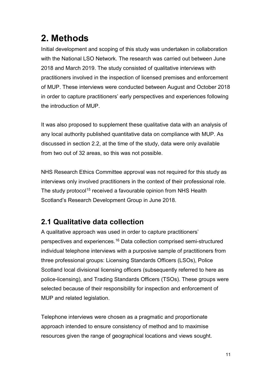# <span id="page-12-0"></span>**2. Methods**

Initial development and scoping of this study was undertaken in collaboration with the National LSO Network. The research was carried out between June 2018 and March 2019. The study consisted of qualitative interviews with practitioners involved in the inspection of licensed premises and enforcement of MUP. These interviews were conducted between August and October 2018 in order to capture practitioners' early perspectives and experiences following the introduction of MUP.

It was also proposed to supplement these qualitative data with an analysis of any local authority published quantitative data on compliance with MUP. As discussed in section 2.2, at the time of the study, data were only available from two out of 32 areas, so this was not possible.

NHS Research Ethics Committee approval was not required for this study as interviews only involved practitioners in the context of their professional role. The study protocol<sup>[15](#page-86-14)</sup> received a favourable opinion from NHS Health Scotland's Research Development Group in June 2018.

## <span id="page-12-1"></span>**2.1 Qualitative data collection**

A qualitative approach was used in order to capture practitioners' perspectives and experiences.[16](#page-86-15) Data collection comprised semi-structured individual telephone interviews with a purposive sample of practitioners from three professional groups: Licensing Standards Officers (LSOs), Police Scotland local divisional licensing officers (subsequently referred to here as police-licensing), and Trading Standards Officers (TSOs). These groups were selected because of their responsibility for inspection and enforcement of MUP and related legislation.

Telephone interviews were chosen as a pragmatic and proportionate approach intended to ensure consistency of method and to maximise resources given the range of geographical locations and views sought.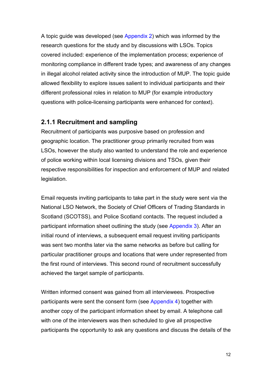A topic guide was developed (see [Appendix 2\)](#page-67-0) which was informed by the research questions for the study and by discussions with LSOs. Topics covered included: experience of the implementation process; experience of monitoring compliance in different trade types; and awareness of any changes in illegal alcohol related activity since the introduction of MUP. The topic guide allowed flexibility to explore issues salient to individual participants and their different professional roles in relation to MUP (for example introductory questions with police-licensing participants were enhanced for context).

#### **2.1.1 Recruitment and sampling**

Recruitment of participants was purposive based on profession and geographic location. The practitioner group primarily recruited from was LSOs, however the study also wanted to understand the role and experience of police working within local licensing divisions and TSOs, given their respective responsibilities for inspection and enforcement of MUP and related legislation.

Email requests inviting participants to take part in the study were sent via the National LSO Network, the Society of Chief Officers of Trading Standards in Scotland (SCOTSS), and Police Scotland contacts. The request included a participant information sheet outlining the study (see [Appendix 3\)](#page-72-0). After an initial round of interviews, a subsequent email request inviting participants was sent two months later via the same networks as before but calling for particular practitioner groups and locations that were under represented from the first round of interviews. This second round of recruitment successfully achieved the target sample of participants.

Written informed consent was gained from all interviewees. Prospective participants were sent the consent form (see [Appendix 4\)](#page-76-0) together with another copy of the participant information sheet by email. A telephone call with one of the interviewers was then scheduled to give all prospective participants the opportunity to ask any questions and discuss the details of the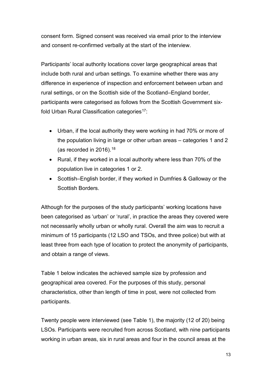consent form. Signed consent was received via email prior to the interview and consent re-confirmed verbally at the start of the interview.

Participants' local authority locations cover large geographical areas that include both rural and urban settings. To examine whether there was any difference in experience of inspection and enforcement between urban and rural settings, or on the Scottish side of the Scotland–England border, participants were categorised as follows from the Scottish Government sixfold Urban Rural Classification categories<sup>17</sup>:

- Urban, if the local authority they were working in had 70% or more of the population living in large or other urban areas – categories 1 and 2 (as recorded in 2016).  $18$
- Rural, if they worked in a local authority where less than 70% of the population live in categories 1 or 2.
- Scottish–English border, if they worked in Dumfries & Galloway or the Scottish Borders.

Although for the purposes of the study participants' working locations have been categorised as 'urban' or 'rural', in practice the areas they covered were not necessarily wholly urban or wholly rural. Overall the aim was to recruit a minimum of 15 participants (12 LSO and TSOs, and three police) but with at least three from each type of location to protect the anonymity of participants, and obtain a range of views.

Table 1 below indicates the achieved sample size by profession and geographical area covered. For the purposes of this study, personal characteristics, other than length of time in post, were not collected from participants.

Twenty people were interviewed (see Table 1), the majority (12 of 20) being LSOs. Participants were recruited from across Scotland, with nine participants working in urban areas, six in rural areas and four in the council areas at the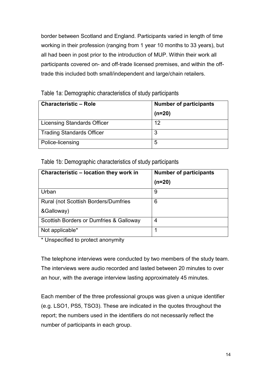border between Scotland and England. Participants varied in length of time working in their profession (ranging from 1 year 10 months to 33 years), but all had been in post prior to the introduction of MUP. Within their work all participants covered on- and off-trade licensed premises, and within the offtrade this included both small/independent and large/chain retailers.

| <b>Characteristic - Role</b>     | <b>Number of participants</b> |
|----------------------------------|-------------------------------|
|                                  | $(n=20)$                      |
| Licensing Standards Officer      | 12                            |
| <b>Trading Standards Officer</b> | 3                             |
| Police-licensing                 | 5                             |

Table 1a: Demographic characteristics of study participants

Table 1b: Demographic characteristics of study participants

| Characteristic – location they work in       | <b>Number of participants</b> |
|----------------------------------------------|-------------------------------|
|                                              | $(n=20)$                      |
| Urban                                        | 9                             |
| <b>Rural (not Scottish Borders/Dumfries)</b> | 6                             |
| &Galloway)                                   |                               |
| Scottish Borders or Dumfries & Galloway      | 4                             |
| Not applicable*                              |                               |

\* Unspecified to protect anonymity

The telephone interviews were conducted by two members of the study team. The interviews were audio recorded and lasted between 20 minutes to over an hour, with the average interview lasting approximately 45 minutes.

Each member of the three professional groups was given a unique identifier (e.g. LSO1, PS5, TSO3). These are indicated in the quotes throughout the report; the numbers used in the identifiers do not necessarily reflect the number of participants in each group.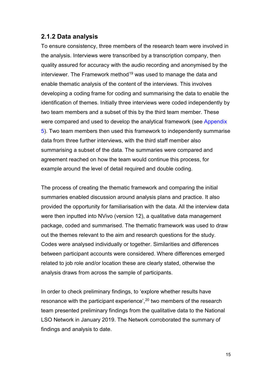#### **2.1.2 Data analysis**

To ensure consistency, three members of the research team were involved in the analysis. Interviews were transcribed by a transcription company, then quality assured for accuracy with the audio recording and anonymised by the interviewer. The Framework method<sup>[19](#page-86-18)</sup> was used to manage the data and enable thematic analysis of the content of the interviews. This involves developing a coding frame for coding and summarising the data to enable the identification of themes. Initially three interviews were coded independently by two team members and a subset of this by the third team member. These were compared and used to develop the analytical framework (see [Appendix](#page-79-0)  [5\)](#page-79-0). Two team members then used this framework to independently summarise data from three further interviews, with the third staff member also summarising a subset of the data. The summaries were compared and agreement reached on how the team would continue this process, for example around the level of detail required and double coding.

The process of creating the thematic framework and comparing the initial summaries enabled discussion around analysis plans and practice. It also provided the opportunity for familiarisation with the data. All the interview data were then inputted into NVivo (version 12), a qualitative data management package, coded and summarised. The thematic framework was used to draw out the themes relevant to the aim and research questions for the study. Codes were analysed individually or together. Similarities and differences between participant accounts were considered. Where differences emerged related to job role and/or location these are clearly stated, otherwise the analysis draws from across the sample of participants.

In order to check preliminary findings, to 'explore whether results have resonance with the participant experience',<sup>[20](#page-86-19)</sup> two members of the research team presented preliminary findings from the qualitative data to the National LSO Network in January 2019. The Network corroborated the summary of findings and analysis to date.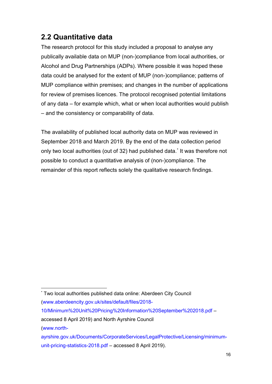### <span id="page-17-0"></span>**2.2 Quantitative data**

The research protocol for this study included a proposal to analyse any publically available data on MUP (non-)compliance from local authorities, or Alcohol and Drug Partnerships (ADPs). Where possible it was hoped these data could be analysed for the extent of MUP (non-)compliance; patterns of MUP compliance within premises; and changes in the number of applications for review of premises licences. The protocol recognised potential limitations of any data – for example which, what or when local authorities would publish – and the consistency or comparability of data.

The availability of published local authority data on MUP was reviewed in September 2018 and March 2019. By the end of the data collection period only two local authorities (out of 32) had published data.[\\*](#page-17-1) It was therefore not possible to conduct a quantitative analysis of (non-)compliance. The remainder of this report reflects solely the qualitative research findings.

[\(www.north-](http://www.north-ayrshire.gov.uk/Documents/CorporateServices/LegalProtective/Licensing/minimum-unit-pricing-statistics-2018.pdf)

<span id="page-17-1"></span> <sup>\*</sup> Two local authorities published data online: Aberdeen City Council

[<sup>\(</sup>www.aberdeencity.gov.uk/sites/default/files/2018-](http://www.aberdeencity.gov.uk/sites/default/files/2018-10/Minimum%20Unit%20Pricing%20Information%20September%202018.pdf)

[<sup>10/</sup>Minimum%20Unit%20Pricing%20Information%20September%202018.pdf](http://www.aberdeencity.gov.uk/sites/default/files/2018-10/Minimum%20Unit%20Pricing%20Information%20September%202018.pdf) –

accessed 8 April 2019) and North Ayrshire Council

[ayrshire.gov.uk/Documents/CorporateServices/LegalProtective/Licensing/minimum](http://www.north-ayrshire.gov.uk/Documents/CorporateServices/LegalProtective/Licensing/minimum-unit-pricing-statistics-2018.pdf)[unit-pricing-statistics-2018.pdf](http://www.north-ayrshire.gov.uk/Documents/CorporateServices/LegalProtective/Licensing/minimum-unit-pricing-statistics-2018.pdf) – accessed 8 April 2019).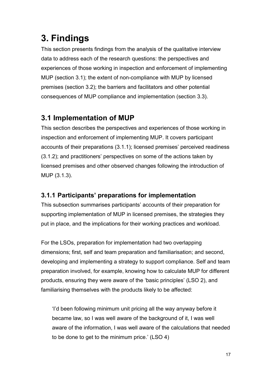## <span id="page-18-0"></span>**3. Findings**

This section presents findings from the analysis of the qualitative interview data to address each of the research questions: the perspectives and experiences of those working in inspection and enforcement of implementing MUP (section 3.1); the extent of non-compliance with MUP by licensed premises (section 3.2); the barriers and facilitators and other potential consequences of MUP compliance and implementation (section 3.3).

## <span id="page-18-1"></span>**3.1 Implementation of MUP**

This section describes the perspectives and experiences of those working in inspection and enforcement of implementing MUP. It covers participant accounts of their preparations (3.1.1); licensed premises' perceived readiness (3.1.2); and practitioners' perspectives on some of the actions taken by licensed premises and other observed changes following the introduction of MUP (3.1.3).

#### **3.1.1 Participants' preparations for implementation**

This subsection summarises participants' accounts of their preparation for supporting implementation of MUP in licensed premises, the strategies they put in place, and the implications for their working practices and workload.

For the LSOs, preparation for implementation had two overlapping dimensions; first, self and team preparation and familiarisation; and second, developing and implementing a strategy to support compliance. Self and team preparation involved, for example, knowing how to calculate MUP for different products, ensuring they were aware of the 'basic principles' (LSO 2), and familiarising themselves with the products likely to be affected:

'I'd been following minimum unit pricing all the way anyway before it became law, so I was well aware of the background of it, I was well aware of the information, I was well aware of the calculations that needed to be done to get to the minimum price.' (LSO 4)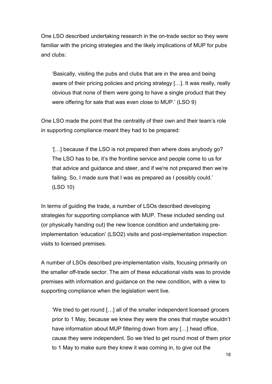One LSO described undertaking research in the on-trade sector so they were familiar with the pricing strategies and the likely implications of MUP for pubs and clubs:

'Basically, visiting the pubs and clubs that are in the area and being aware of their pricing policies and pricing strategy […]. It was really, really obvious that none of them were going to have a single product that they were offering for sale that was even close to MUP.' (LSO 9)

One LSO made the point that the centrality of their own and their team's role in supporting compliance meant they had to be prepared:

'[…] because if the LSO is not prepared then where does anybody go? The LSO has to be, it's the frontline service and people come to us for that advice and guidance and steer, and if we're not prepared then we're failing. So, I made sure that I was as prepared as I possibly could.' (LSO 10)

In terms of guiding the trade, a number of LSOs described developing strategies for supporting compliance with MUP. These included sending out (or physically handing out) the new licence condition and undertaking preimplementation 'education' (LSO2) visits and post-implementation inspection visits to licensed premises.

A number of LSOs described pre-implementation visits, focusing primarily on the smaller off-trade sector. The aim of these educational visits was to provide premises with information and guidance on the new condition, with a view to supporting compliance when the legislation went live.

'We tried to get round […] all of the smaller independent licensed grocers prior to 1 May, because we knew they were the ones that maybe wouldn't have information about MUP filtering down from any [...] head office, cause they were independent. So we tried to get round most of them prior to 1 May to make sure they knew it was coming in, to give out the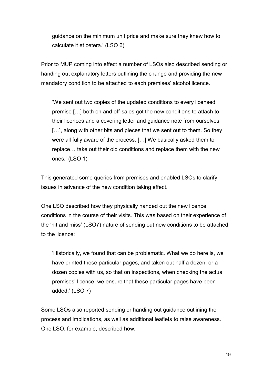guidance on the minimum unit price and make sure they knew how to calculate it et cetera.' (LSO 6)

Prior to MUP coming into effect a number of LSOs also described sending or handing out explanatory letters outlining the change and providing the new mandatory condition to be attached to each premises' alcohol licence.

'We sent out two copies of the updated conditions to every licensed premise […] both on and off-sales got the new conditions to attach to their licences and a covering letter and guidance note from ourselves [...], along with other bits and pieces that we sent out to them. So they were all fully aware of the process. […] We basically asked them to replace… take out their old conditions and replace them with the new ones.' (LSO 1)

This generated some queries from premises and enabled LSOs to clarify issues in advance of the new condition taking effect.

One LSO described how they physically handed out the new licence conditions in the course of their visits. This was based on their experience of the 'hit and miss' (LSO7) nature of sending out new conditions to be attached to the licence:

'Historically, we found that can be problematic. What we do here is, we have printed these particular pages, and taken out half a dozen, or a dozen copies with us, so that on inspections, when checking the actual premises' licence, we ensure that these particular pages have been added.' (LSO 7)

Some LSOs also reported sending or handing out guidance outlining the process and implications, as well as additional leaflets to raise awareness. One LSO, for example, described how: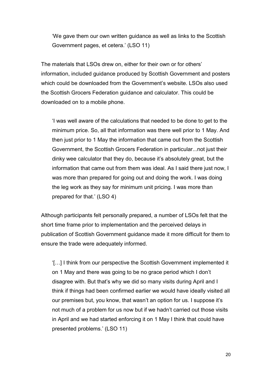'We gave them our own written guidance as well as links to the Scottish Government pages, et cetera.' (LSO 11)

The materials that LSOs drew on, either for their own or for others' information, included guidance produced by Scottish Government and posters which could be downloaded from the Government's website. LSOs also used the Scottish Grocers Federation guidance and calculator. This could be downloaded on to a mobile phone.

'I was well aware of the calculations that needed to be done to get to the minimum price. So, all that information was there well prior to 1 May. And then just prior to 1 May the information that came out from the Scottish Government, the Scottish Grocers Federation in particular...not just their dinky wee calculator that they do, because it's absolutely great, but the information that came out from them was ideal. As I said there just now, I was more than prepared for going out and doing the work. I was doing the leg work as they say for minimum unit pricing. I was more than prepared for that.' (LSO 4)

Although participants felt personally prepared, a number of LSOs felt that the short time frame prior to implementation and the perceived delays in publication of Scottish Government guidance made it more difficult for them to ensure the trade were adequately informed.

'[…] I think from our perspective the Scottish Government implemented it on 1 May and there was going to be no grace period which I don't disagree with. But that's why we did so many visits during April and I think if things had been confirmed earlier we would have ideally visited all our premises but, you know, that wasn't an option for us. I suppose it's not much of a problem for us now but if we hadn't carried out those visits in April and we had started enforcing it on 1 May I think that could have presented problems.' (LSO 11)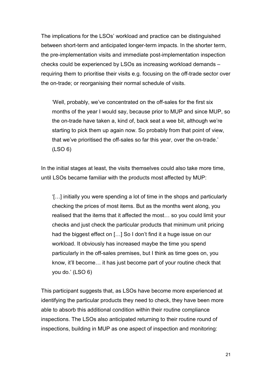The implications for the LSOs' workload and practice can be distinguished between short-term and anticipated longer-term impacts. In the shorter term, the pre-implementation visits and immediate post-implementation inspection checks could be experienced by LSOs as increasing workload demands – requiring them to prioritise their visits e.g. focusing on the off-trade sector over the on-trade; or reorganising their normal schedule of visits.

'Well, probably, we've concentrated on the off-sales for the first six months of the year I would say, because prior to MUP and since MUP, so the on-trade have taken a, kind of, back seat a wee bit, although we're starting to pick them up again now. So probably from that point of view, that we've prioritised the off-sales so far this year, over the on-trade.' (LSO 6)

In the initial stages at least, the visits themselves could also take more time, until LSOs became familiar with the products most affected by MUP:

'[…] initially you were spending a lot of time in the shops and particularly checking the prices of most items. But as the months went along, you realised that the items that it affected the most… so you could limit your checks and just check the particular products that minimum unit pricing had the biggest effect on […] So I don't find it a huge issue on our workload. It obviously has increased maybe the time you spend particularly in the off-sales premises, but I think as time goes on, you know, it'll become… it has just become part of your routine check that you do.' (LSO 6)

This participant suggests that, as LSOs have become more experienced at identifying the particular products they need to check, they have been more able to absorb this additional condition within their routine compliance inspections. The LSOs also anticipated returning to their routine round of inspections, building in MUP as one aspect of inspection and monitoring: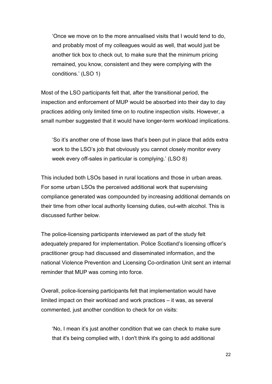'Once we move on to the more annualised visits that I would tend to do, and probably most of my colleagues would as well, that would just be another tick box to check out, to make sure that the minimum pricing remained, you know, consistent and they were complying with the conditions.' (LSO 1)

Most of the LSO participants felt that, after the transitional period, the inspection and enforcement of MUP would be absorbed into their day to day practices adding only limited time on to routine inspection visits. However, a small number suggested that it would have longer-term workload implications.

'So it's another one of those laws that's been put in place that adds extra work to the LSO's job that obviously you cannot closely monitor every week every off-sales in particular is complying.' (LSO 8)

This included both LSOs based in rural locations and those in urban areas. For some urban LSOs the perceived additional work that supervising compliance generated was compounded by increasing additional demands on their time from other local authority licensing duties, out-with alcohol. This is discussed further below.

The police-licensing participants interviewed as part of the study felt adequately prepared for implementation. Police Scotland's licensing officer's practitioner group had discussed and disseminated information, and the national Violence Prevention and Licensing Co-ordination Unit sent an internal reminder that MUP was coming into force.

Overall, police-licensing participants felt that implementation would have limited impact on their workload and work practices – it was, as several commented, just another condition to check for on visits:

'No, I mean it's just another condition that we can check to make sure that it's being complied with, I don't think it's going to add additional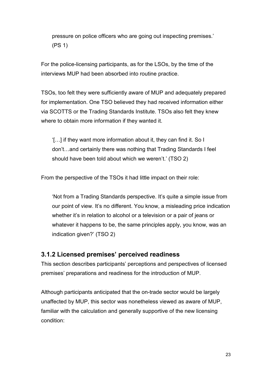pressure on police officers who are going out inspecting premises.' (PS 1)

For the police-licensing participants, as for the LSOs, by the time of the interviews MUP had been absorbed into routine practice.

TSOs, too felt they were sufficiently aware of MUP and adequately prepared for implementation. One TSO believed they had received information either via SCOTTS or the Trading Standards Institute. TSOs also felt they knew where to obtain more information if they wanted it.

'[…] if they want more information about it, they can find it. So I don't…and certainly there was nothing that Trading Standards I feel should have been told about which we weren't.' (TSO 2)

From the perspective of the TSOs it had little impact on their role:

'Not from a Trading Standards perspective. It's quite a simple issue from our point of view. It's no different. You know, a misleading price indication whether it's in relation to alcohol or a television or a pair of jeans or whatever it happens to be, the same principles apply, you know, was an indication given?' (TSO 2)

#### **3.1.2 Licensed premises' perceived readiness**

This section describes participants' perceptions and perspectives of licensed premises' preparations and readiness for the introduction of MUP.

Although participants anticipated that the on-trade sector would be largely unaffected by MUP, this sector was nonetheless viewed as aware of MUP, familiar with the calculation and generally supportive of the new licensing condition: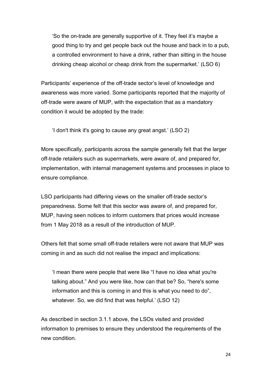'So the on-trade are generally supportive of it. They feel it's maybe a good thing to try and get people back out the house and back in to a pub, a controlled environment to have a drink, rather than sitting in the house drinking cheap alcohol or cheap drink from the supermarket.' (LSO 6)

Participants' experience of the off-trade sector's level of knowledge and awareness was more varied. Some participants reported that the majority of off-trade were aware of MUP, with the expectation that as a mandatory condition it would be adopted by the trade:

'I don't think it's going to cause any great angst.' (LSO 2)

More specifically, participants across the sample generally felt that the larger off-trade retailers such as supermarkets, were aware of, and prepared for, implementation, with internal management systems and processes in place to ensure compliance.

LSO participants had differing views on the smaller off-trade sector's preparedness. Some felt that this sector was aware of, and prepared for, MUP, having seen notices to inform customers that prices would increase from 1 May 2018 as a result of the introduction of MUP.

Others felt that some small off-trade retailers were not aware that MUP was coming in and as such did not realise the impact and implications:

'I mean there were people that were like "I have no idea what you're talking about." And you were like, how can that be? So, "here's some information and this is coming in and this is what you need to do", whatever. So, we did find that was helpful.' (LSO 12)

As described in section 3.1.1 above, the LSOs visited and provided information to premises to ensure they understood the requirements of the new condition.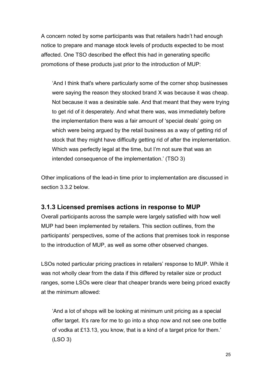A concern noted by some participants was that retailers hadn't had enough notice to prepare and manage stock levels of products expected to be most affected. One TSO described the effect this had in generating specific promotions of these products just prior to the introduction of MUP:

'And I think that's where particularly some of the corner shop businesses were saying the reason they stocked brand X was because it was cheap. Not because it was a desirable sale. And that meant that they were trying to get rid of it desperately. And what there was, was immediately before the implementation there was a fair amount of 'special deals' going on which were being argued by the retail business as a way of getting rid of stock that they might have difficulty getting rid of after the implementation. Which was perfectly legal at the time, but I'm not sure that was an intended consequence of the implementation.' (TSO 3)

Other implications of the lead-in time prior to implementation are discussed in section 3.3.2 below.

#### **3.1.3 Licensed premises actions in response to MUP**

Overall participants across the sample were largely satisfied with how well MUP had been implemented by retailers. This section outlines, from the participants' perspectives, some of the actions that premises took in response to the introduction of MUP, as well as some other observed changes.

LSOs noted particular pricing practices in retailers' response to MUP. While it was not wholly clear from the data if this differed by retailer size or product ranges, some LSOs were clear that cheaper brands were being priced exactly at the minimum allowed:

'And a lot of shops will be looking at minimum unit pricing as a special offer target. It's rare for me to go into a shop now and not see one bottle of vodka at £13.13, you know, that is a kind of a target price for them.' (LSO 3)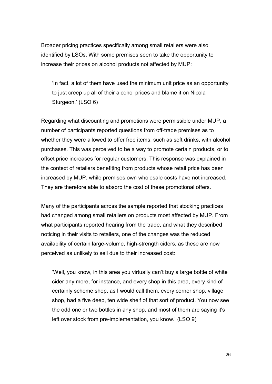Broader pricing practices specifically among small retailers were also identified by LSOs. With some premises seen to take the opportunity to increase their prices on alcohol products not affected by MUP:

'In fact, a lot of them have used the minimum unit price as an opportunity to just creep up all of their alcohol prices and blame it on Nicola Sturgeon.' (LSO 6)

Regarding what discounting and promotions were permissible under MUP, a number of participants reported questions from off-trade premises as to whether they were allowed to offer free items, such as soft drinks, with alcohol purchases. This was perceived to be a way to promote certain products, or to offset price increases for regular customers. This response was explained in the context of retailers benefiting from products whose retail price has been increased by MUP, while premises own wholesale costs have not increased. They are therefore able to absorb the cost of these promotional offers.

Many of the participants across the sample reported that stocking practices had changed among small retailers on products most affected by MUP. From what participants reported hearing from the trade, and what they described noticing in their visits to retailers, one of the changes was the reduced availability of certain large-volume, high-strength ciders, as these are now perceived as unlikely to sell due to their increased cost:

'Well, you know, in this area you virtually can't buy a large bottle of white cider any more, for instance, and every shop in this area, every kind of certainly scheme shop, as I would call them, every corner shop, village shop, had a five deep, ten wide shelf of that sort of product. You now see the odd one or two bottles in any shop, and most of them are saying it's left over stock from pre-implementation, you know.' (LSO 9)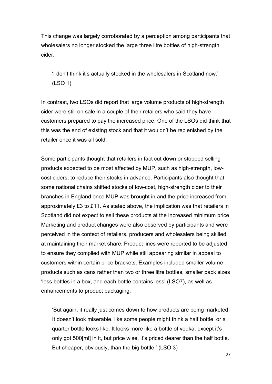This change was largely corroborated by a perception among participants that wholesalers no longer stocked the large three litre bottles of high-strength cider.

'I don't think it's actually stocked in the wholesalers in Scotland now.' (LSO 1)

In contrast, two LSOs did report that large volume products of high-strength cider were still on sale in a couple of their retailers who said they have customers prepared to pay the increased price. One of the LSOs did think that this was the end of existing stock and that it wouldn't be replenished by the retailer once it was all sold.

Some participants thought that retailers in fact cut down or stopped selling products expected to be most affected by MUP, such as high-strength, lowcost ciders, to reduce their stocks in advance. Participants also thought that some national chains shifted stocks of low-cost, high-strength cider to their branches in England once MUP was brought in and the price increased from approximately £3 to £11. As stated above, the implication was that retailers in Scotland did not expect to sell these products at the increased minimum price. Marketing and product changes were also observed by participants and were perceived in the context of retailers, producers and wholesalers being skilled at maintaining their market share. Product lines were reported to be adjusted to ensure they complied with MUP while still appearing similar in appeal to customers within certain price brackets. Examples included smaller volume products such as cans rather than two or three litre bottles, smaller pack sizes 'less bottles in a box, and each bottle contains less' (LSO7), as well as enhancements to product packaging:

'But again, it really just comes down to how products are being marketed. It doesn't look miserable, like some people might think a half bottle, or a quarter bottle looks like. It looks more like a bottle of vodka, except it's only got 500[ml] in it, but price wise, it's priced dearer than the half bottle. But cheaper, obviously, than the big bottle.' (LSO 3)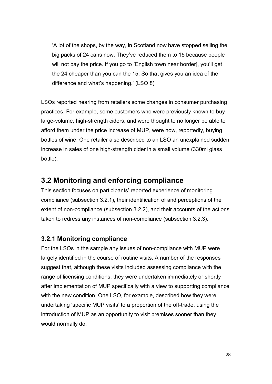'A lot of the shops, by the way, in Scotland now have stopped selling the big packs of 24 cans now. They've reduced them to 15 because people will not pay the price. If you go to [English town near border], you'll get the 24 cheaper than you can the 15. So that gives you an idea of the difference and what's happening.' (LSO 8)

LSOs reported hearing from retailers some changes in consumer purchasing practices. For example, some customers who were previously known to buy large-volume, high-strength ciders, and were thought to no longer be able to afford them under the price increase of MUP, were now, reportedly, buying bottles of wine. One retailer also described to an LSO an unexplained sudden increase in sales of one high-strength cider in a small volume (330ml glass bottle).

#### <span id="page-29-0"></span>**3.2 Monitoring and enforcing compliance**

This section focuses on participants' reported experience of monitoring compliance (subsection 3.2.1), their identification of and perceptions of the extent of non-compliance (subsection 3.2.2), and their accounts of the actions taken to redress any instances of non-compliance (subsection 3.2.3).

#### **3.2.1 Monitoring compliance**

For the LSOs in the sample any issues of non-compliance with MUP were largely identified in the course of routine visits. A number of the responses suggest that, although these visits included assessing compliance with the range of licensing conditions, they were undertaken immediately or shortly after implementation of MUP specifically with a view to supporting compliance with the new condition. One LSO, for example, described how they were undertaking 'specific MUP visits' to a proportion of the off-trade, using the introduction of MUP as an opportunity to visit premises sooner than they would normally do: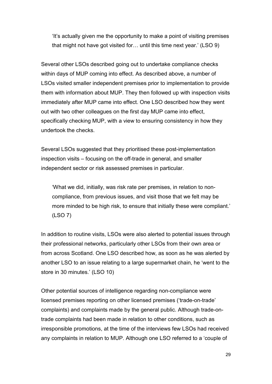'It's actually given me the opportunity to make a point of visiting premises that might not have got visited for… until this time next year.' (LSO 9)

Several other LSOs described going out to undertake compliance checks within days of MUP coming into effect. As described above, a number of LSOs visited smaller independent premises prior to implementation to provide them with information about MUP. They then followed up with inspection visits immediately after MUP came into effect. One LSO described how they went out with two other colleagues on the first day MUP came into effect, specifically checking MUP, with a view to ensuring consistency in how they undertook the checks.

Several LSOs suggested that they prioritised these post-implementation inspection visits – focusing on the off-trade in general, and smaller independent sector or risk assessed premises in particular.

'What we did, initially, was risk rate per premises, in relation to noncompliance, from previous issues, and visit those that we felt may be more minded to be high risk, to ensure that initially these were compliant.' (LSO 7)

In addition to routine visits, LSOs were also alerted to potential issues through their professional networks, particularly other LSOs from their own area or from across Scotland. One LSO described how, as soon as he was alerted by another LSO to an issue relating to a large supermarket chain, he 'went to the store in 30 minutes.' (LSO 10)

Other potential sources of intelligence regarding non-compliance were licensed premises reporting on other licensed premises ('trade-on-trade' complaints) and complaints made by the general public. Although trade-ontrade complaints had been made in relation to other conditions, such as irresponsible promotions, at the time of the interviews few LSOs had received any complaints in relation to MUP. Although one LSO referred to a 'couple of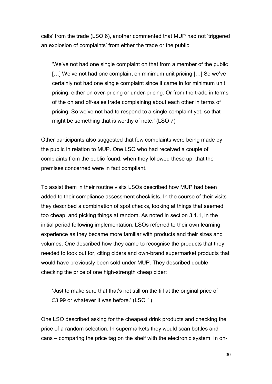calls' from the trade (LSO 6), another commented that MUP had not 'triggered an explosion of complaints' from either the trade or the public:

'We've not had one single complaint on that from a member of the public [...] We've not had one complaint on minimum unit pricing [...] So we've certainly not had one single complaint since it came in for minimum unit pricing, either on over-pricing or under-pricing. Or from the trade in terms of the on and off-sales trade complaining about each other in terms of pricing. So we've not had to respond to a single complaint yet, so that might be something that is worthy of note.' (LSO 7)

Other participants also suggested that few complaints were being made by the public in relation to MUP. One LSO who had received a couple of complaints from the public found, when they followed these up, that the premises concerned were in fact compliant.

To assist them in their routine visits LSOs described how MUP had been added to their compliance assessment checklists. In the course of their visits they described a combination of spot checks, looking at things that seemed too cheap, and picking things at random. As noted in section 3.1.1, in the initial period following implementation, LSOs referred to their own learning experience as they became more familiar with products and their sizes and volumes. One described how they came to recognise the products that they needed to look out for, citing ciders and own-brand supermarket products that would have previously been sold under MUP. They described double checking the price of one high-strength cheap cider:

'Just to make sure that that's not still on the till at the original price of £3.99 or whatever it was before.' (LSO 1)

One LSO described asking for the cheapest drink products and checking the price of a random selection. In supermarkets they would scan bottles and cans – comparing the price tag on the shelf with the electronic system. In on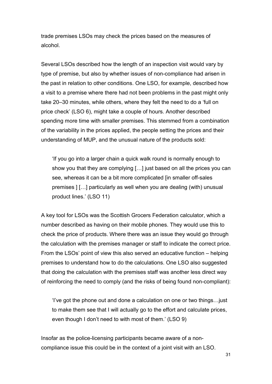trade premises LSOs may check the prices based on the measures of alcohol.

Several LSOs described how the length of an inspection visit would vary by type of premise, but also by whether issues of non-compliance had arisen in the past in relation to other conditions. One LSO, for example, described how a visit to a premise where there had not been problems in the past might only take 20–30 minutes, while others, where they felt the need to do a 'full on price check' (LSO 6), might take a couple of hours. Another described spending more time with smaller premises. This stemmed from a combination of the variability in the prices applied, the people setting the prices and their understanding of MUP, and the unusual nature of the products sold:

'If you go into a larger chain a quick walk round is normally enough to show you that they are complying […] just based on all the prices you can see, whereas it can be a bit more complicated [in smaller off-sales premises ] […] particularly as well when you are dealing (with) unusual product lines.' (LSO 11)

A key tool for LSOs was the Scottish Grocers Federation calculator, which a number described as having on their mobile phones. They would use this to check the price of products. Where there was an issue they would go through the calculation with the premises manager or staff to indicate the correct price. From the LSOs' point of view this also served an educative function – helping premises to understand how to do the calculations. One LSO also suggested that doing the calculation with the premises staff was another less direct way of reinforcing the need to comply (and the risks of being found non-compliant):

'I've got the phone out and done a calculation on one or two things…just to make them see that I will actually go to the effort and calculate prices, even though I don't need to with most of them.' (LSO 9)

Insofar as the police-licensing participants became aware of a noncompliance issue this could be in the context of a joint visit with an LSO.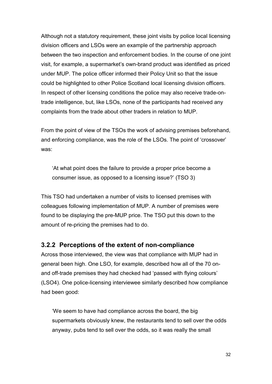Although not a statutory requirement, these joint visits by police local licensing division officers and LSOs were an example of the partnership approach between the two inspection and enforcement bodies. In the course of one joint visit, for example, a supermarket's own-brand product was identified as priced under MUP. The police officer informed their Policy Unit so that the issue could be highlighted to other Police Scotland local licensing division officers. In respect of other licensing conditions the police may also receive trade-ontrade intelligence, but, like LSOs, none of the participants had received any complaints from the trade about other traders in relation to MUP.

From the point of view of the TSOs the work of advising premises beforehand, and enforcing compliance, was the role of the LSOs. The point of 'crossover' was:

'At what point does the failure to provide a proper price become a consumer issue, as opposed to a licensing issue?' (TSO 3)

This TSO had undertaken a number of visits to licensed premises with colleagues following implementation of MUP. A number of premises were found to be displaying the pre-MUP price. The TSO put this down to the amount of re-pricing the premises had to do.

#### **3.2.2 Perceptions of the extent of non-compliance**

Across those interviewed, the view was that compliance with MUP had in general been high. One LSO, for example, described how all of the 70 onand off-trade premises they had checked had 'passed with flying colours' (LSO4). One police-licensing interviewee similarly described how compliance had been good:

'We seem to have had compliance across the board, the big supermarkets obviously knew, the restaurants tend to sell over the odds anyway, pubs tend to sell over the odds, so it was really the small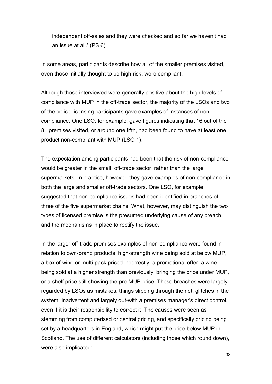independent off-sales and they were checked and so far we haven't had an issue at all.' (PS 6)

In some areas, participants describe how all of the smaller premises visited, even those initially thought to be high risk, were compliant.

Although those interviewed were generally positive about the high levels of compliance with MUP in the off-trade sector, the majority of the LSOs and two of the police-licensing participants gave examples of instances of noncompliance. One LSO, for example, gave figures indicating that 16 out of the 81 premises visited, or around one fifth, had been found to have at least one product non-compliant with MUP (LSO 1).

The expectation among participants had been that the risk of non-compliance would be greater in the small, off-trade sector, rather than the large supermarkets. In practice, however, they gave examples of non-compliance in both the large and smaller off-trade sectors. One LSO, for example, suggested that non-compliance issues had been identified in branches of three of the five supermarket chains. What, however, may distinguish the two types of licensed premise is the presumed underlying cause of any breach, and the mechanisms in place to rectify the issue.

In the larger off-trade premises examples of non-compliance were found in relation to own-brand products, high-strength wine being sold at below MUP, a box of wine or multi-pack priced incorrectly, a promotional offer, a wine being sold at a higher strength than previously, bringing the price under MUP, or a shelf price still showing the pre-MUP price. These breaches were largely regarded by LSOs as mistakes, things slipping through the net, glitches in the system, inadvertent and largely out-with a premises manager's direct control, even if it is their responsibility to correct it. The causes were seen as stemming from computerised or central pricing, and specifically pricing being set by a headquarters in England, which might put the price below MUP in Scotland. The use of different calculators (including those which round down), were also implicated: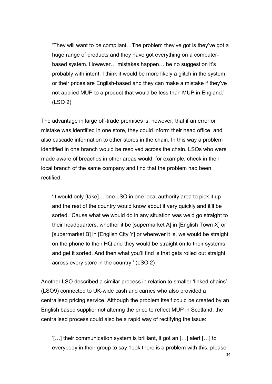'They will want to be compliant…The problem they've got is they've got a huge range of products and they have got everything on a computerbased system. However… mistakes happen… be no suggestion it's probably with intent. I think it would be more likely a glitch in the system, or their prices are English-based and they can make a mistake if they've not applied MUP to a product that would be less than MUP in England.' (LSO 2)

The advantage in large off-trade premises is, however, that if an error or mistake was identified in one store, they could inform their head office, and also cascade information to other stores in the chain. In this way a problem identified in one branch would be resolved across the chain. LSOs who were made aware of breaches in other areas would, for example, check in their local branch of the same company and find that the problem had been rectified.

'It would only [take]… one LSO in one local authority area to pick it up and the rest of the country would know about it very quickly and it'll be sorted. 'Cause what we would do in any situation was we'd go straight to their headquarters, whether it be [supermarket A] in [English Town X] or [supermarket B] in [English City Y] or wherever it is, we would be straight on the phone to their HQ and they would be straight on to their systems and get it sorted. And then what you'll find is that gets rolled out straight across every store in the country.' (LSO 2)

Another LSO described a similar process in relation to smaller 'linked chains' (LSO9) connected to UK-wide cash and carries who also provided a centralised pricing service. Although the problem itself could be created by an English based supplier not altering the price to reflect MUP in Scotland, the centralised process could also be a rapid way of rectifying the issue:

'[…] their communication system is brilliant, it got an […] alert […] to everybody in their group to say "look there is a problem with this, please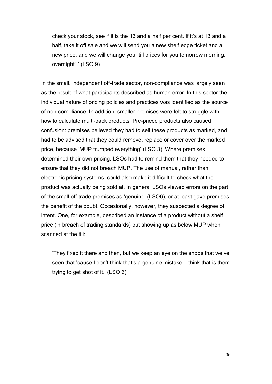check your stock, see if it is the 13 and a half per cent. If it's at 13 and a half, take it off sale and we will send you a new shelf edge ticket and a new price, and we will change your till prices for you tomorrow morning, overnight".' (LSO 9)

In the small, independent off-trade sector, non-compliance was largely seen as the result of what participants described as human error. In this sector the individual nature of pricing policies and practices was identified as the source of non-compliance. In addition, smaller premises were felt to struggle with how to calculate multi-pack products. Pre-priced products also caused confusion: premises believed they had to sell these products as marked, and had to be advised that they could remove, replace or cover over the marked price, because 'MUP trumped everything' (LSO 3). Where premises determined their own pricing, LSOs had to remind them that they needed to ensure that they did not breach MUP. The use of manual, rather than electronic pricing systems, could also make it difficult to check what the product was actually being sold at. In general LSOs viewed errors on the part of the small off-trade premises as 'genuine' (LSO6), or at least gave premises the benefit of the doubt. Occasionally, however, they suspected a degree of intent. One, for example, described an instance of a product without a shelf price (in breach of trading standards) but showing up as below MUP when scanned at the till:

'They fixed it there and then, but we keep an eye on the shops that we've seen that 'cause I don't think that's a genuine mistake. I think that is them trying to get shot of it.' (LSO 6)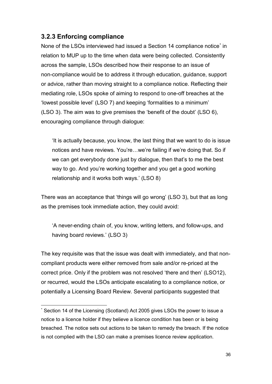# **3.2.3 Enforcing compliance**

None of the LSOs interviewed had issued a Section 14 compliance notice<sup>[\\*](#page-37-0)</sup> in relation to MUP up to the time when data were being collected. Consistently across the sample, LSOs described how their response to an issue of non-compliance would be to address it through education, guidance, support or advice, rather than moving straight to a compliance notice. Reflecting their mediating role, LSOs spoke of aiming to respond to one-off breaches at the 'lowest possible level' (LSO 7) and keeping 'formalities to a minimum' (LSO 3). The aim was to give premises the 'benefit of the doubt' (LSO 6), encouraging compliance through dialogue:

'It is actually because, you know, the last thing that we want to do is issue notices and have reviews. You're…we're failing if we're doing that. So if we can get everybody done just by dialogue, then that's to me the best way to go. And you're working together and you get a good working relationship and it works both ways.' (LSO 8)

There was an acceptance that 'things will go wrong' (LSO 3), but that as long as the premises took immediate action, they could avoid:

'A never-ending chain of, you know, writing letters, and follow-ups, and having board reviews.' (LSO 3)

The key requisite was that the issue was dealt with immediately, and that noncompliant products were either removed from sale and/or re-priced at the correct price. Only if the problem was not resolved 'there and then' (LSO12), or recurred, would the LSOs anticipate escalating to a compliance notice, or potentially a Licensing Board Review. Several participants suggested that

<span id="page-37-0"></span> <sup>\*</sup> Section 14 of the Licensing (Scotland) Act 2005 gives LSOs the power to issue a notice to a licence holder if they believe a licence condition has been or is being breached. The notice sets out actions to be taken to remedy the breach. If the notice is not complied with the LSO can make a premises licence review application.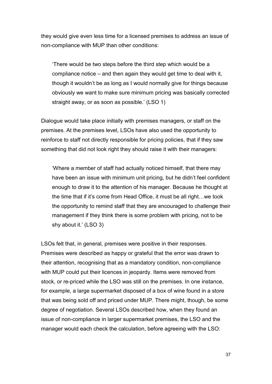they would give even less time for a licensed premises to address an issue of non-compliance with MUP than other conditions:

'There would be two steps before the third step which would be a compliance notice – and then again they would get time to deal with it, though it wouldn't be as long as I would normally give for things because obviously we want to make sure minimum pricing was basically corrected straight away, or as soon as possible.' (LSO 1)

Dialogue would take place initially with premises managers, or staff on the premises. At the premises level, LSOs have also used the opportunity to reinforce to staff not directly responsible for pricing policies, that if they saw something that did not look right they should raise it with their managers:

'Where a member of staff had actually noticed himself, that there may have been an issue with minimum unit pricing, but he didn't feel confident enough to draw it to the attention of his manager. Because he thought at the time that if it's come from Head Office, it must be all right…we took the opportunity to remind staff that they are encouraged to challenge their management if they think there is some problem with pricing, not to be shy about it.' (LSO 3)

LSOs felt that, in general, premises were positive in their responses. Premises were described as happy or grateful that the error was drawn to their attention, recognising that as a mandatory condition, non-compliance with MUP could put their licences in jeopardy. Items were removed from stock, or re-priced while the LSO was still on the premises. In one instance, for example, a large supermarket disposed of a box of wine found in a store that was being sold off and priced under MUP. There might, though, be some degree of negotiation. Several LSOs described how, when they found an issue of non-compliance in larger supermarket premises, the LSO and the manager would each check the calculation, before agreeing with the LSO: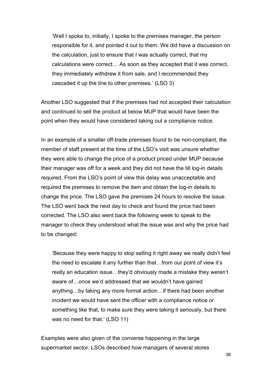'Well I spoke to, initially, I spoke to the premises manager, the person responsible for it, and pointed it out to them. We did have a discussion on the calculation, just to ensure that I was actually correct, that my calculations were correct… As soon as they accepted that it was correct, they immediately withdrew it from sale, and I recommended they cascaded it up the line to other premises.' (LSO 3)

Another LSO suggested that if the premises had not accepted their calculation and continued to sell the product at below MUP that would have been the point when they would have considered taking out a compliance notice.

In an example of a smaller off-trade premises found to be non-compliant, the member of staff present at the time of the LSO's visit was unsure whether they were able to change the price of a product priced under MUP because their manager was off for a week and they did not have the till log-in details required. From the LSO's point of view this delay was unacceptable and required the premises to remove the item and obtain the log-in details to change the price. The LSO gave the premises 24 hours to resolve the issue. The LSO went back the next day to check and found the price had been corrected. The LSO also went back the following week to speak to the manager to check they understood what the issue was and why the price had to be changed:

'Because they were happy to stop selling it right away we really didn't feel the need to escalate it any further than that…from our point of view it's really an education issue…they'd obviously made a mistake they weren't aware of…once we'd addressed that we wouldn't have gained anything…by taking any more formal action…if there had been another incident we would have sent the officer with a compliance notice or something like that, to make sure they were taking it seriously, but there was no need for that.' (LSO 11)

Examples were also given of the converse happening in the large supermarket sector. LSOs described how managers of several stores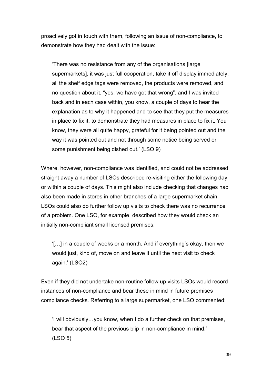proactively got in touch with them, following an issue of non-compliance, to demonstrate how they had dealt with the issue:

'There was no resistance from any of the organisations [large supermarkets], it was just full cooperation, take it off display immediately, all the shelf edge tags were removed, the products were removed, and no question about it, "yes, we have got that wrong", and I was invited back and in each case within, you know, a couple of days to hear the explanation as to why it happened and to see that they put the measures in place to fix it, to demonstrate they had measures in place to fix it. You know, they were all quite happy, grateful for it being pointed out and the way it was pointed out and not through some notice being served or some punishment being dished out.' (LSO 9)

Where, however, non-compliance was identified, and could not be addressed straight away a number of LSOs described re-visiting either the following day or within a couple of days. This might also include checking that changes had also been made in stores in other branches of a large supermarket chain. LSOs could also do further follow up visits to check there was no recurrence of a problem. One LSO, for example, described how they would check an initially non-compliant small licensed premises:

'[…] in a couple of weeks or a month. And if everything's okay, then we would just, kind of, move on and leave it until the next visit to check again.' (LSO2)

Even if they did not undertake non-routine follow up visits LSOs would record instances of non-compliance and bear these in mind in future premises compliance checks. Referring to a large supermarket, one LSO commented:

'I will obviously…you know, when I do a further check on that premises, bear that aspect of the previous blip in non-compliance in mind.' (LSO 5)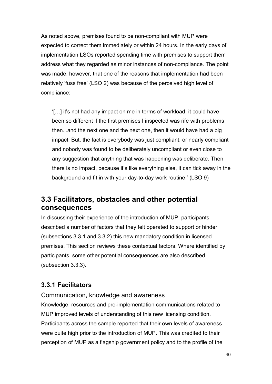As noted above, premises found to be non-compliant with MUP were expected to correct them immediately or within 24 hours. In the early days of implementation LSOs reported spending time with premises to support them address what they regarded as minor instances of non-compliance. The point was made, however, that one of the reasons that implementation had been relatively 'fuss free' (LSO 2) was because of the perceived high level of compliance:

'[…] it's not had any impact on me in terms of workload, it could have been so different if the first premises I inspected was rife with problems then...and the next one and the next one, then it would have had a big impact. But, the fact is everybody was just compliant, or nearly compliant and nobody was found to be deliberately uncompliant or even close to any suggestion that anything that was happening was deliberate. Then there is no impact, because it's like everything else, it can tick away in the background and fit in with your day-to-day work routine.' (LSO 9)

# **3.3 Facilitators, obstacles and other potential consequences**

In discussing their experience of the introduction of MUP, participants described a number of factors that they felt operated to support or hinder (subsections 3.3.1 and 3.3.2) this new mandatory condition in licensed premises. This section reviews these contextual factors. Where identified by participants, some other potential consequences are also described (subsection 3.3.3).

# **3.3.1 Facilitators**

Communication, knowledge and awareness

Knowledge, resources and pre-implementation communications related to MUP improved levels of understanding of this new licensing condition. Participants across the sample reported that their own levels of awareness were quite high prior to the introduction of MUP. This was credited to their perception of MUP as a flagship government policy and to the profile of the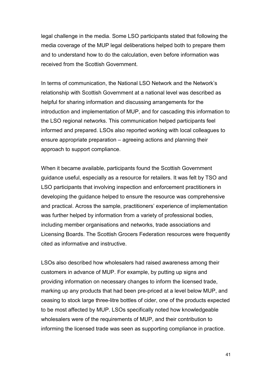legal challenge in the media. Some LSO participants stated that following the media coverage of the MUP legal deliberations helped both to prepare them and to understand how to do the calculation, even before information was received from the Scottish Government.

In terms of communication, the National LSO Network and the Network's relationship with Scottish Government at a national level was described as helpful for sharing information and discussing arrangements for the introduction and implementation of MUP, and for cascading this information to the LSO regional networks. This communication helped participants feel informed and prepared. LSOs also reported working with local colleagues to ensure appropriate preparation – agreeing actions and planning their approach to support compliance.

When it became available, participants found the Scottish Government guidance useful, especially as a resource for retailers. It was felt by TSO and LSO participants that involving inspection and enforcement practitioners in developing the guidance helped to ensure the resource was comprehensive and practical. Across the sample, practitioners' experience of implementation was further helped by information from a variety of professional bodies, including member organisations and networks, trade associations and Licensing Boards. The Scottish Grocers Federation resources were frequently cited as informative and instructive.

LSOs also described how wholesalers had raised awareness among their customers in advance of MUP. For example, by putting up signs and providing information on necessary changes to inform the licensed trade, marking up any products that had been pre-priced at a level below MUP, and ceasing to stock large three-litre bottles of cider, one of the products expected to be most affected by MUP. LSOs specifically noted how knowledgeable wholesalers were of the requirements of MUP, and their contribution to informing the licensed trade was seen as supporting compliance in practice.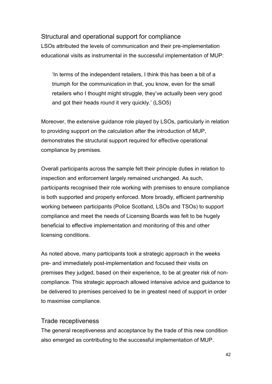## Structural and operational support for compliance

LSOs attributed the levels of communication and their pre-implementation educational visits as instrumental in the successful implementation of MUP:

'In terms of the independent retailers, I think this has been a bit of a triumph for the communication in that, you know, even for the small retailers who I thought might struggle, they've actually been very good and got their heads round it very quickly.' (LSO5)

Moreover, the extensive guidance role played by LSOs, particularly in relation to providing support on the calculation after the introduction of MUP, demonstrates the structural support required for effective operational compliance by premises.

Overall participants across the sample felt their principle duties in relation to inspection and enforcement largely remained unchanged. As such, participants recognised their role working with premises to ensure compliance is both supported and properly enforced. More broadly, efficient partnership working between participants (Police Scotland, LSOs and TSOs) to support compliance and meet the needs of Licensing Boards was felt to be hugely beneficial to effective implementation and monitoring of this and other licensing conditions.

As noted above, many participants took a strategic approach in the weeks pre- and immediately post-implementation and focused their visits on premises they judged, based on their experience, to be at greater risk of noncompliance. This strategic approach allowed intensive advice and guidance to be delivered to premises perceived to be in greatest need of support in order to maximise compliance.

### Trade receptiveness

The general receptiveness and acceptance by the trade of this new condition also emerged as contributing to the successful implementation of MUP.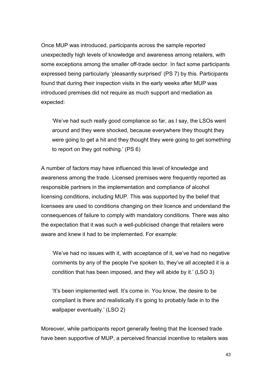Once MUP was introduced, participants across the sample reported unexpectedly high levels of knowledge and awareness among retailers, with some exceptions among the smaller off-trade sector. In fact some participants expressed being particularly 'pleasantly surprised' (PS 7) by this. Participants found that during their inspection visits in the early weeks after MUP was introduced premises did not require as much support and mediation as expected:

'We've had such really good compliance so far, as I say, the LSOs went around and they were shocked, because everywhere they thought they were going to get a hit and they thought they were going to get something to report on they got nothing.' (PS 6)

A number of factors may have influenced this level of knowledge and awareness among the trade. Licensed premises were frequently reported as responsible partners in the implementation and compliance of alcohol licensing conditions, including MUP. This was supported by the belief that licensees are used to conditions changing on their licence and understand the consequences of failure to comply with mandatory conditions. There was also the expectation that it was such a well-publicised change that retailers were aware and knew it had to be implemented. For example:

'We've had no issues with it, with acceptance of it, we've had no negative comments by any of the people I've spoken to, they've all accepted it is a condition that has been imposed, and they will abide by it.' (LSO 3)

'It's been implemented well. It's come in. You know, the desire to be compliant is there and realistically it's going to probably fade in to the wallpaper eventually.' (LSO 2)

Moreover, while participants report generally feeling that the licensed trade have been supportive of MUP, a perceived financial incentive to retailers was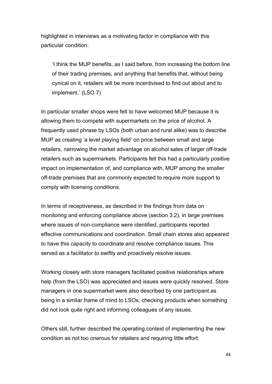highlighted in interviews as a motivating factor in compliance with this particular condition:

'I think the MUP benefits, as I said before, from increasing the bottom line of their trading premises, and anything that benefits that, without being cynical on it, retailers will be more incentivised to find out about and to implement.' (LSO 7)

In particular smaller shops were felt to have welcomed MUP because it is allowing them to compete with supermarkets on the price of alcohol. A frequently used phrase by LSOs (both urban and rural alike) was to describe MUP as creating 'a level playing field' on price between small and large retailers, narrowing the market advantage on alcohol sales of larger off-trade retailers such as supermarkets. Participants felt this had a particularly positive impact on implementation of, and compliance with, MUP among the smaller off-trade premises that are commonly expected to require more support to comply with licensing conditions.

In terms of receptiveness, as described in the findings from data on monitoring and enforcing compliance above (section 3.2), in large premises where issues of non-compliance were identified, participants reported effective communications and coordination. Small chain stores also appeared to have this capacity to coordinate and resolve compliance issues. This served as a facilitator to swiftly and proactively resolve issues.

Working closely with store managers facilitated positive relationships where help (from the LSO) was appreciated and issues were quickly resolved. Store managers in one supermarket were also described by one participant as being in a similar frame of mind to LSOs, checking products when something did not look quite right and informing colleagues of any issues.

Others still, further described the operating context of implementing the new condition as not too onerous for retailers and requiring little effort: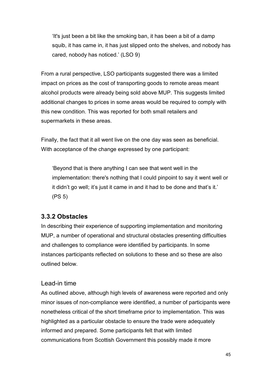'It's just been a bit like the smoking ban, it has been a bit of a damp squib, it has came in, it has just slipped onto the shelves, and nobody has cared, nobody has noticed.' (LSO 9)

From a rural perspective, LSO participants suggested there was a limited impact on prices as the cost of transporting goods to remote areas meant alcohol products were already being sold above MUP. This suggests limited additional changes to prices in some areas would be required to comply with this new condition. This was reported for both small retailers and supermarkets in these areas.

Finally, the fact that it all went live on the one day was seen as beneficial. With acceptance of the change expressed by one participant:

'Beyond that is there anything I can see that went well in the implementation: there's nothing that I could pinpoint to say it went well or it didn't go well; it's just it came in and it had to be done and that's it.' (PS 5)

## **3.3.2 Obstacles**

In describing their experience of supporting implementation and monitoring MUP, a number of operational and structural obstacles presenting difficulties and challenges to compliance were identified by participants. In some instances participants reflected on solutions to these and so these are also outlined below.

### Lead-in time

As outlined above, although high levels of awareness were reported and only minor issues of non-compliance were identified, a number of participants were nonetheless critical of the short timeframe prior to implementation. This was highlighted as a particular obstacle to ensure the trade were adequately informed and prepared. Some participants felt that with limited communications from Scottish Government this possibly made it more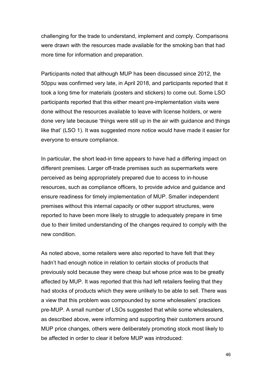challenging for the trade to understand, implement and comply. Comparisons were drawn with the resources made available for the smoking ban that had more time for information and preparation.

Participants noted that although MUP has been discussed since 2012, the 50ppu was confirmed very late, in April 2018, and participants reported that it took a long time for materials (posters and stickers) to come out. Some LSO participants reported that this either meant pre-implementation visits were done without the resources available to leave with license holders, or were done very late because 'things were still up in the air with guidance and things like that' (LSO 1). It was suggested more notice would have made it easier for everyone to ensure compliance.

In particular, the short lead-in time appears to have had a differing impact on different premises. Larger off-trade premises such as supermarkets were perceived as being appropriately prepared due to access to in-house resources, such as compliance officers, to provide advice and guidance and ensure readiness for timely implementation of MUP. Smaller independent premises without this internal capacity or other support structures, were reported to have been more likely to struggle to adequately prepare in time due to their limited understanding of the changes required to comply with the new condition.

As noted above, some retailers were also reported to have felt that they hadn't had enough notice in relation to certain stocks of products that previously sold because they were cheap but whose price was to be greatly affected by MUP. It was reported that this had left retailers feeling that they had stocks of products which they were unlikely to be able to sell. There was a view that this problem was compounded by some wholesalers' practices pre-MUP. A small number of LSOs suggested that while some wholesalers, as described above, were informing and supporting their customers around MUP price changes, others were deliberately promoting stock most likely to be affected in order to clear it before MUP was introduced: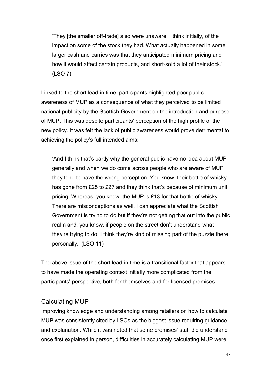'They [the smaller off-trade] also were unaware, I think initially, of the impact on some of the stock they had. What actually happened in some larger cash and carries was that they anticipated minimum pricing and how it would affect certain products, and short-sold a lot of their stock.' (LSO 7)

Linked to the short lead-in time, participants highlighted poor public awareness of MUP as a consequence of what they perceived to be limited national publicity by the Scottish Government on the introduction and purpose of MUP. This was despite participants' perception of the high profile of the new policy. It was felt the lack of public awareness would prove detrimental to achieving the policy's full intended aims:

'And I think that's partly why the general public have no idea about MUP generally and when we do come across people who are aware of MUP they tend to have the wrong perception. You know, their bottle of whisky has gone from £25 to £27 and they think that's because of minimum unit pricing. Whereas, you know, the MUP is £13 for that bottle of whisky. There are misconceptions as well. I can appreciate what the Scottish Government is trying to do but if they're not getting that out into the public realm and, you know, if people on the street don't understand what they're trying to do, I think they're kind of missing part of the puzzle there personally.' (LSO 11)

The above issue of the short lead-in time is a transitional factor that appears to have made the operating context initially more complicated from the participants' perspective, both for themselves and for licensed premises.

## Calculating MUP

Improving knowledge and understanding among retailers on how to calculate MUP was consistently cited by LSOs as the biggest issue requiring guidance and explanation. While it was noted that some premises' staff did understand once first explained in person, difficulties in accurately calculating MUP were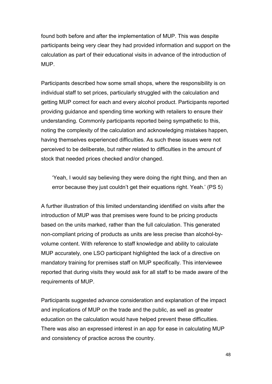found both before and after the implementation of MUP. This was despite participants being very clear they had provided information and support on the calculation as part of their educational visits in advance of the introduction of MUP.

Participants described how some small shops, where the responsibility is on individual staff to set prices, particularly struggled with the calculation and getting MUP correct for each and every alcohol product. Participants reported providing guidance and spending time working with retailers to ensure their understanding. Commonly participants reported being sympathetic to this, noting the complexity of the calculation and acknowledging mistakes happen, having themselves experienced difficulties. As such these issues were not perceived to be deliberate, but rather related to difficulties in the amount of stock that needed prices checked and/or changed.

'Yeah, I would say believing they were doing the right thing, and then an error because they just couldn't get their equations right. Yeah.' (PS 5)

A further illustration of this limited understanding identified on visits after the introduction of MUP was that premises were found to be pricing products based on the units marked, rather than the full calculation. This generated non-compliant pricing of products as units are less precise than alcohol-byvolume content. With reference to staff knowledge and ability to calculate MUP accurately, one LSO participant highlighted the lack of a directive on mandatory training for premises staff on MUP specifically. This interviewee reported that during visits they would ask for all staff to be made aware of the requirements of MUP.

Participants suggested advance consideration and explanation of the impact and implications of MUP on the trade and the public, as well as greater education on the calculation would have helped prevent these difficulties. There was also an expressed interest in an app for ease in calculating MUP and consistency of practice across the country.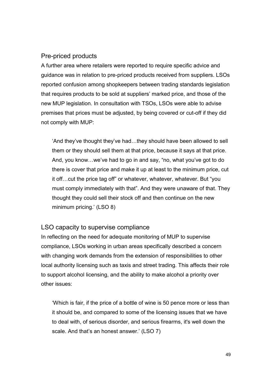### Pre-priced products

A further area where retailers were reported to require specific advice and guidance was in relation to pre-priced products received from suppliers. LSOs reported confusion among shopkeepers between trading standards legislation that requires products to be sold at suppliers' marked price, and those of the new MUP legislation. In consultation with TSOs, LSOs were able to advise premises that prices must be adjusted, by being covered or cut-off if they did not comply with MUP:

'And they've thought they've had…they should have been allowed to sell them or they should sell them at that price, because it says at that price. And, you know…we've had to go in and say, "no, what you've got to do there is cover that price and make it up at least to the minimum price, cut it off…cut the price tag off" or whatever, whatever, whatever. But "you must comply immediately with that". And they were unaware of that. They thought they could sell their stock off and then continue on the new minimum pricing.' (LSO 8)

### LSO capacity to supervise compliance

In reflecting on the need for adequate monitoring of MUP to supervise compliance, LSOs working in urban areas specifically described a concern with changing work demands from the extension of responsibilities to other local authority licensing such as taxis and street trading. This affects their role to support alcohol licensing, and the ability to make alcohol a priority over other issues:

'Which is fair, if the price of a bottle of wine is 50 pence more or less than it should be, and compared to some of the licensing issues that we have to deal with, of serious disorder, and serious firearms, it's well down the scale. And that's an honest answer.' (LSO 7)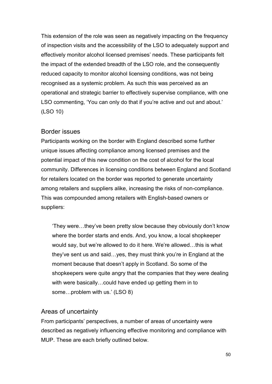This extension of the role was seen as negatively impacting on the frequency of inspection visits and the accessibility of the LSO to adequately support and effectively monitor alcohol licensed premises' needs. These participants felt the impact of the extended breadth of the LSO role, and the consequently reduced capacity to monitor alcohol licensing conditions, was not being recognised as a systemic problem. As such this was perceived as an operational and strategic barrier to effectively supervise compliance, with one LSO commenting, 'You can only do that if you're active and out and about.' (LSO 10)

### Border issues

Participants working on the border with England described some further unique issues affecting compliance among licensed premises and the potential impact of this new condition on the cost of alcohol for the local community. Differences in licensing conditions between England and Scotland for retailers located on the border was reported to generate uncertainty among retailers and suppliers alike, increasing the risks of non-compliance. This was compounded among retailers with English-based owners or suppliers:

'They were…they've been pretty slow because they obviously don't know where the border starts and ends. And, you know, a local shopkeeper would say, but we're allowed to do it here. We're allowed…this is what they've sent us and said…yes, they must think you're in England at the moment because that doesn't apply in Scotland. So some of the shopkeepers were quite angry that the companies that they were dealing with were basically…could have ended up getting them in to some…problem with us.' (LSO 8)

### Areas of uncertainty

From participants' perspectives, a number of areas of uncertainty were described as negatively influencing effective monitoring and compliance with MUP. These are each briefly outlined below.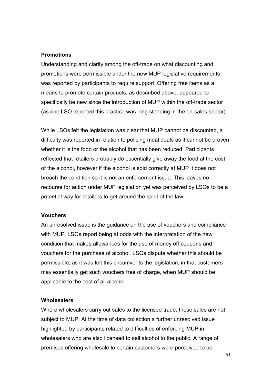#### **Promotions**

Understanding and clarity among the off-trade on what discounting and promotions were permissible under the new MUP legislative requirements was reported by participants to require support. Offering free items as a means to promote certain products, as described above, appeared to specifically be new since the introduction of MUP within the off-trade sector (as one LSO reported this practice was long standing in the on-sales sector).

While LSOs felt the legislation was clear that MUP cannot be discounted, a difficulty was reported in relation to policing meal deals as it cannot be proven whether it is the food or the alcohol that has been reduced. Participants reflected that retailers probably do essentially give away the food at the cost of the alcohol, however if the alcohol is sold correctly at MUP it does not breach the condition so it is not an enforcement issue. This leaves no recourse for action under MUP legislation yet was perceived by LSOs to be a potential way for retailers to get around the spirit of the law.

#### **Vouchers**

An unresolved issue is the guidance on the use of vouchers and compliance with MUP. LSOs report being at odds with the interpretation of the new condition that makes allowances for the use of money off coupons and vouchers for the purchase of alcohol. LSOs dispute whether this should be permissible, as it was felt this circumvents the legislation, in that customers may essentially get such vouchers free of charge, when MUP should be applicable to the cost of all alcohol.

#### **Wholesalers**

Where wholesalers carry out sales to the licensed trade, these sales are not subject to MUP. At the time of data collection a further unresolved issue highlighted by participants related to difficulties of enforcing MUP in wholesalers who are also licensed to sell alcohol to the public. A range of premises offering wholesale to certain customers were perceived to be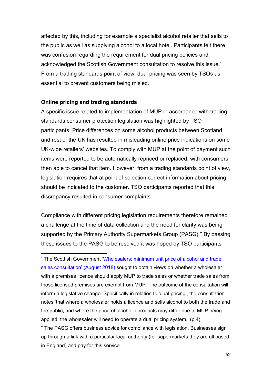affected by this, including for example a specialist alcohol retailer that sells to the public as well as supplying alcohol to a local hotel. Participants felt there was confusion regarding the requirement for dual pricing policies and acknowledged the Scottish Government consultation to resolve this issue.[\\*](#page-53-0) From a trading standards point of view, dual pricing was seen by TSOs as essential to prevent customers being misled.

#### **Online pricing and trading standards**

A specific issue related to implementation of MUP in accordance with trading standards consumer protection legislation was highlighted by TSO participants. Price differences on some alcohol products between Scotland and rest of the UK has resulted in misleading online price indications on some UK-wide retailers' websites. To comply with MUP at the point of payment such items were reported to be automatically repriced or replaced, with consumers then able to cancel that item. However, from a trading standards point of view, legislation requires that at point of selection correct information about pricing should be indicated to the customer. TSO participants reported that this discrepancy resulted in consumer complaints.

Compliance with different pricing legislation requirements therefore remained a challenge at the time of data collection and the need for clarity was being supported by the Primary Authority Supermarkets Group (PASG).[†](#page-53-1) By passing these issues to the PASG to be resolved it was hoped by TSO participants

<span id="page-53-1"></span><span id="page-53-0"></span> \* The Scottish Government ['Wholesalers: minimum unit price of alcohol and trade](https://www.gov.scot/publications/wholesalers-minimum-unit-pricing-alcohol-trade-sales/)  [sales consultation' \(August 2018\)](https://www.gov.scot/publications/wholesalers-minimum-unit-pricing-alcohol-trade-sales/) sought to obtain views on whether a wholesaler with a premises licence should apply MUP to trade sales or whether trade sales from those licensed premises are exempt from MUP. The outcome of the consultation will inform a legislative change. Specifically in relation to 'dual pricing', the consultation notes 'that where a wholesaler holds a licence and sells alcohol to both the trade and the public, and where the price of alcoholic products may differ due to MUP being applied, the wholesaler will need to operate a dual pricing system.' (p.4) † The PASG offers business advice for compliance with legislation. Businesses sign up through a link with a particular local authority (for supermarkets they are all based in England) and pay for this service.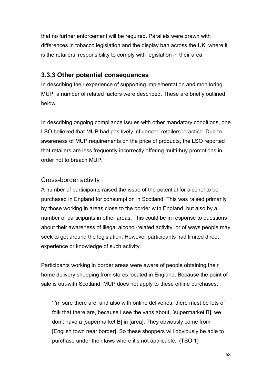that no further enforcement will be required. Parallels were drawn with differences in tobacco legislation and the display ban across the UK, where it is the retailers' responsibility to comply with legislation in their area.

### **3.3.3 Other potential consequences**

In describing their experience of supporting implementation and monitoring MUP, a number of related factors were described. These are briefly outlined below.

In describing ongoing compliance issues with other mandatory conditions, one LSO believed that MUP had positively influenced retailers' practice. Due to awareness of MUP requirements on the price of products, the LSO reported that retailers are less frequently incorrectly offering multi-buy promotions in order not to breach MUP.

### Cross-border activity

A number of participants raised the issue of the potential for alcohol to be purchased in England for consumption in Scotland. This was raised primarily by those working in areas close to the border with England, but also by a number of participants in other areas. This could be in response to questions about their awareness of illegal alcohol-related activity, or of ways people may seek to get around the legislation. However participants had limited direct experience or knowledge of such activity.

Participants working in border areas were aware of people obtaining their home delivery shopping from stores located in England. Because the point of sale is out-with Scotland, MUP does not apply to these online purchases:

'I'm sure there are, and also with online deliveries, there must be lots of folk that there are, because I see the vans about, [supermarket B], we don't have a [supermarket B] in [area]. They obviously come from [English town near border]. So these shoppers will obviously be able to purchase under their laws where it's not applicable.' (TSO 1)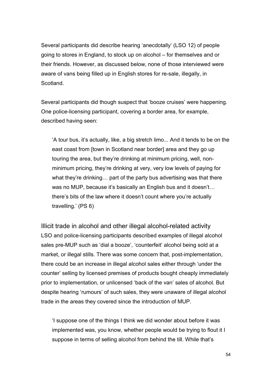Several participants did describe hearing 'anecdotally' (LSO 12) of people going to stores in England, to stock up on alcohol – for themselves and or their friends. However, as discussed below, none of those interviewed were aware of vans being filled up in English stores for re-sale, illegally, in **Scotland** 

Several participants did though suspect that 'booze cruises' were happening. One police-licensing participant, covering a border area, for example, described having seen:

'A tour bus, it's actually, like, a big stretch limo... And it tends to be on the east coast from [town in Scotland near border] area and they go up touring the area, but they're drinking at minimum pricing, well, nonminimum pricing, they're drinking at very, very low levels of paying for what they're drinking… part of the party bus advertising was that there was no MUP, because it's basically an English bus and it doesn't... there's bits of the law where it doesn't count where you're actually travelling.' (PS 6)

Illicit trade in alcohol and other illegal alcohol-related activity LSO and police-licensing participants described examples of illegal alcohol sales pre-MUP such as 'dial a booze', 'counterfeit' alcohol being sold at a market, or illegal stills. There was some concern that, post-implementation, there could be an increase in illegal alcohol sales either through 'under the counter' selling by licensed premises of products bought cheaply immediately prior to implementation, or unlicensed 'back of the van' sales of alcohol. But despite hearing 'rumours' of such sales, they were unaware of illegal alcohol trade in the areas they covered since the introduction of MUP.

'I suppose one of the things I think we did wonder about before it was implemented was, you know, whether people would be trying to flout it I suppose in terms of selling alcohol from behind the till. While that's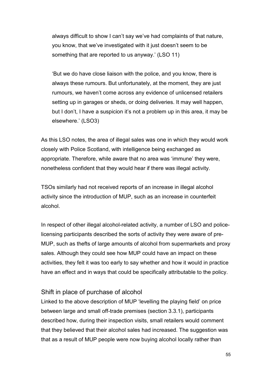always difficult to show I can't say we've had complaints of that nature, you know, that we've investigated with it just doesn't seem to be something that are reported to us anyway.' (LSO 11)

'But we do have close liaison with the police, and you know, there is always these rumours. But unfortunately, at the moment, they are just rumours, we haven't come across any evidence of unlicensed retailers setting up in garages or sheds, or doing deliveries. It may well happen, but I don't, I have a suspicion it's not a problem up in this area, it may be elsewhere.' (LSO3)

As this LSO notes, the area of illegal sales was one in which they would work closely with Police Scotland, with intelligence being exchanged as appropriate. Therefore, while aware that no area was 'immune' they were, nonetheless confident that they would hear if there was illegal activity.

TSOs similarly had not received reports of an increase in illegal alcohol activity since the introduction of MUP, such as an increase in counterfeit alcohol.

In respect of other illegal alcohol-related activity, a number of LSO and policelicensing participants described the sorts of activity they were aware of pre-MUP, such as thefts of large amounts of alcohol from supermarkets and proxy sales. Although they could see how MUP could have an impact on these activities, they felt it was too early to say whether and how it would in practice have an effect and in ways that could be specifically attributable to the policy.

### Shift in place of purchase of alcohol

Linked to the above description of MUP 'levelling the playing field' on price between large and small off-trade premises (section 3.3.1), participants described how, during their inspection visits, small retailers would comment that they believed that their alcohol sales had increased. The suggestion was that as a result of MUP people were now buying alcohol locally rather than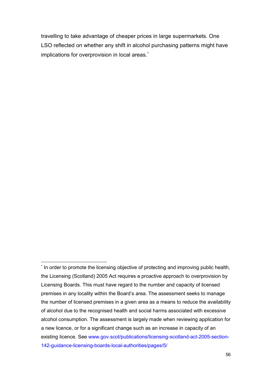travelling to take advantage of cheaper prices in large supermarkets. One LSO reflected on whether any shift in alcohol purchasing patterns might have implications for overprovision in local areas.<sup>[\\*](#page-57-0)</sup>

<span id="page-57-0"></span> <sup>\*</sup> In order to promote the licensing objective of protecting and improving public health, the Licensing (Scotland) 2005 Act requires a proactive approach to overprovision by Licensing Boards. This must have regard to the number and capacity of licensed premises in any locality within the Board's area. The assessment seeks to manage the number of licensed premises in a given area as a means to reduce the availability of alcohol due to the recognised health and social harms associated with excessive alcohol consumption. The assessment is largely made when reviewing application for a new licence, or for a significant change such as an increase in capacity of an existing licence. See [www.gov.scot/publications/licensing-scotland-act-2005-section-](http://www.gov.scot/publications/licensing-scotland-act-2005-section-142-guidance-licensing-boards-local-authorities/pages/5/)[142-guidance-licensing-boards-local-authorities/pages/5/](http://www.gov.scot/publications/licensing-scotland-act-2005-section-142-guidance-licensing-boards-local-authorities/pages/5/)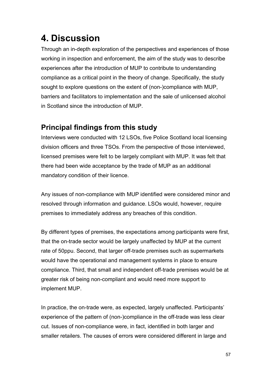# **4. Discussion**

Through an in-depth exploration of the perspectives and experiences of those working in inspection and enforcement, the aim of the study was to describe experiences after the introduction of MUP to contribute to understanding compliance as a critical point in the theory of change. Specifically, the study sought to explore questions on the extent of (non-)compliance with MUP, barriers and facilitators to implementation and the sale of unlicensed alcohol in Scotland since the introduction of MUP.

# **Principal findings from this study**

Interviews were conducted with 12 LSOs, five Police Scotland local licensing division officers and three TSOs. From the perspective of those interviewed, licensed premises were felt to be largely compliant with MUP. It was felt that there had been wide acceptance by the trade of MUP as an additional mandatory condition of their licence.

Any issues of non-compliance with MUP identified were considered minor and resolved through information and guidance. LSOs would, however, require premises to immediately address any breaches of this condition.

By different types of premises, the expectations among participants were first, that the on-trade sector would be largely unaffected by MUP at the current rate of 50ppu. Second, that larger off-trade premises such as supermarkets would have the operational and management systems in place to ensure compliance. Third, that small and independent off-trade premises would be at greater risk of being non-compliant and would need more support to implement MUP.

In practice, the on-trade were, as expected, largely unaffected. Participants' experience of the pattern of (non-)compliance in the off-trade was less clear cut. Issues of non-compliance were, in fact, identified in both larger and smaller retailers. The causes of errors were considered different in large and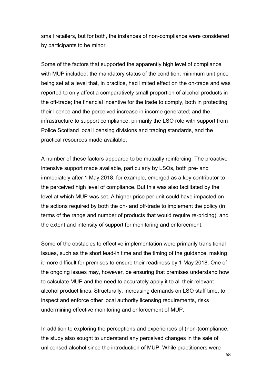small retailers, but for both, the instances of non-compliance were considered by participants to be minor.

Some of the factors that supported the apparently high level of compliance with MUP included: the mandatory status of the condition; minimum unit price being set at a level that, in practice, had limited effect on the on-trade and was reported to only affect a comparatively small proportion of alcohol products in the off-trade; the financial incentive for the trade to comply, both in protecting their licence and the perceived increase in income generated; and the infrastructure to support compliance, primarily the LSO role with support from Police Scotland local licensing divisions and trading standards, and the practical resources made available.

A number of these factors appeared to be mutually reinforcing. The proactive intensive support made available, particularly by LSOs, both pre- and immediately after 1 May 2018, for example, emerged as a key contributor to the perceived high level of compliance. But this was also facilitated by the level at which MUP was set. A higher price per unit could have impacted on the actions required by both the on- and off-trade to implement the policy (in terms of the range and number of products that would require re-pricing), and the extent and intensity of support for monitoring and enforcement.

Some of the obstacles to effective implementation were primarily transitional issues, such as the short lead-in time and the timing of the guidance, making it more difficult for premises to ensure their readiness by 1 May 2018. One of the ongoing issues may, however, be ensuring that premises understand how to calculate MUP and the need to accurately apply it to all their relevant alcohol product lines. Structurally, increasing demands on LSO staff time, to inspect and enforce other local authority licensing requirements, risks undermining effective monitoring and enforcement of MUP.

In addition to exploring the perceptions and experiences of (non-)compliance, the study also sought to understand any perceived changes in the sale of unlicensed alcohol since the introduction of MUP. While practitioners were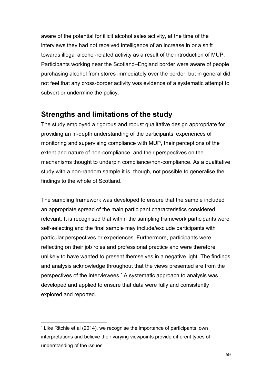aware of the potential for illicit alcohol sales activity, at the time of the interviews they had not received intelligence of an increase in or a shift towards illegal alcohol-related activity as a result of the introduction of MUP. Participants working near the Scotland–England border were aware of people purchasing alcohol from stores immediately over the border, but in general did not feel that any cross-border activity was evidence of a systematic attempt to subvert or undermine the policy.

# **Strengths and limitations of the study**

The study employed a rigorous and robust qualitative design appropriate for providing an in-depth understanding of the participants' experiences of monitoring and supervising compliance with MUP, their perceptions of the extent and nature of non-compliance, and their perspectives on the mechanisms thought to underpin compliance/non-compliance. As a qualitative study with a non-random sample it is, though, not possible to generalise the findings to the whole of Scotland.

The sampling framework was developed to ensure that the sample included an appropriate spread of the main participant characteristics considered relevant. It is recognised that within the sampling framework participants were self-selecting and the final sample may include/exclude participants with particular perspectives or experiences. Furthermore, participants were reflecting on their job roles and professional practice and were therefore unlikely to have wanted to present themselves in a negative light. The findings and analysis acknowledge throughout that the views presented are from the perspectives of the interviewees.[\\*](#page-60-0) A systematic approach to analysis was developed and applied to ensure that data were fully and consistently explored and reported.

<span id="page-60-0"></span> <sup>\*</sup> Like Ritchie et al (2014), we recognise the importance of participants' own interpretations and believe their varying viewpoints provide different types of understanding of the issues.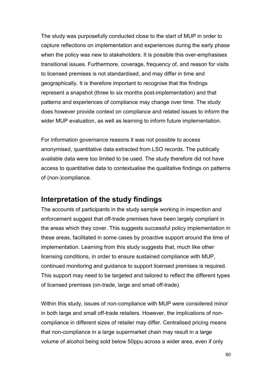The study was purposefully conducted close to the start of MUP in order to capture reflections on implementation and experiences during the early phase when the policy was new to stakeholders. It is possible this over-emphasises transitional issues. Furthermore, coverage, frequency of, and reason for visits to licensed premises is not standardised, and may differ in time and geographically. It is therefore important to recognise that the findings represent a snapshot (three to six months post-implementation) and that patterns and experiences of compliance may change over time. The study does however provide context on compliance and related issues to inform the wider MUP evaluation, as well as learning to inform future implementation.

For information governance reasons it was not possible to access anonymised, quantitative data extracted from LSO records. The publically available data were too limited to be used. The study therefore did not have access to quantitative data to contextualise the qualitative findings on patterns of (non-)compliance.

# **Interpretation of the study findings**

The accounts of participants in the study sample working in inspection and enforcement suggest that off-trade premises have been largely compliant in the areas which they cover. This suggests successful policy implementation in these areas, facilitated in some cases by proactive support around the time of implementation. Learning from this study suggests that, much like other licensing conditions, in order to ensure sustained compliance with MUP, continued monitoring and guidance to support licensed premises is required. This support may need to be targeted and tailored to reflect the different types of licensed premises (on-trade, large and small off-trade).

Within this study, issues of non-compliance with MUP were considered minor in both large and small off-trade retailers. However, the implications of noncompliance in different sizes of retailer may differ. Centralised pricing means that non-compliance in a large supermarket chain may result in a large volume of alcohol being sold below 50ppu across a wider area, even if only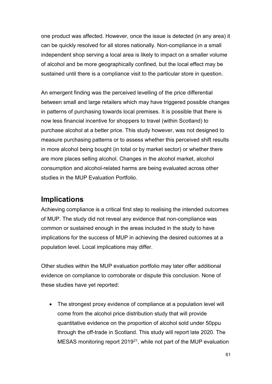one product was affected. However, once the issue is detected (in any area) it can be quickly resolved for all stores nationally. Non-compliance in a small independent shop serving a local area is likely to impact on a smaller volume of alcohol and be more geographically confined, but the local effect may be sustained until there is a compliance visit to the particular store in question.

An emergent finding was the perceived levelling of the price differential between small and large retailers which may have triggered possible changes in patterns of purchasing towards local premises. It is possible that there is now less financial incentive for shoppers to travel (within Scotland) to purchase alcohol at a better price. This study however, was not designed to measure purchasing patterns or to assess whether this perceived shift results in more alcohol being bought (in total or by market sector) or whether there are more places selling alcohol. Changes in the alcohol market, alcohol consumption and alcohol-related harms are being evaluated across other studies in the MUP Evaluation Portfolio.

# **Implications**

Achieving compliance is a critical first step to realising the intended outcomes of MUP. The study did not reveal any evidence that non-compliance was common or sustained enough in the areas included in the study to have implications for the success of MUP in achieving the desired outcomes at a population level. Local implications may differ.

Other studies within the MUP evaluation portfolio may later offer additional evidence on compliance to corroborate or dispute this conclusion. None of these studies have yet reported:

• The strongest proxy evidence of compliance at a population level will come from the alcohol price distribution study that will provide quantitative evidence on the proportion of alcohol sold under 50ppu through the off-trade in Scotland. This study will report late 2020. The MESAS monitoring report 2019[21](#page-86-0), while not part of the MUP evaluation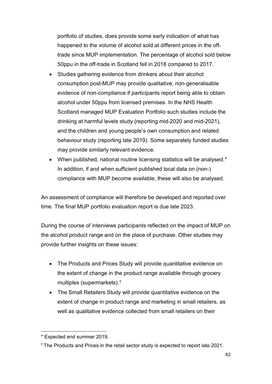portfolio of studies, does provide some early indication of what has happened to the volume of alcohol sold at different prices in the offtrade since MUP implementation. The percentage of alcohol sold below 50ppu in the off-trade in Scotland fell in 2018 compared to 2017.

- Studies gathering evidence from drinkers about their alcohol consumption post-MUP may provide qualitative, non-generalisable evidence of non-compliance if participants report being able to obtain alcohol under 50ppu from licensed premises. In the NHS Health Scotland managed MUP Evaluation Portfolio such studies include the drinking at harmful levels study (reporting mid-2020 and mid-2021), and the children and young people's own consumption and related behaviour study (reporting late 2019). Some separately funded studies may provide similarly relevant evidence.
- When published, national routine licensing statistics will be analysed.[\\*](#page-63-0) In addition, if and when sufficient published local data on (non-) compliance with MUP become available, these will also be analysed.

An assessment of compliance will therefore be developed and reported over time. The final MUP portfolio evaluation report is due late 2023.

During the course of interviews participants reflected on the impact of MUP on the alcohol product range and on the place of purchase. Other studies may provide further insights on these issues:

- The Products and Prices Study will provide quantitative evidence on the extent of change in the product range available through grocery multiples (supermarkets).[†](#page-63-1)
- The Small Retailers Study will provide quantitative evidence on the extent of change in product range and marketing in small retailers, as well as qualitative evidence collected from small retailers on their

<span id="page-63-0"></span><sup>-</sup>\* Expected end summer 2019.

<span id="page-63-1"></span><sup>†</sup> The Products and Prices in the retail sector study is expected to report late 2021.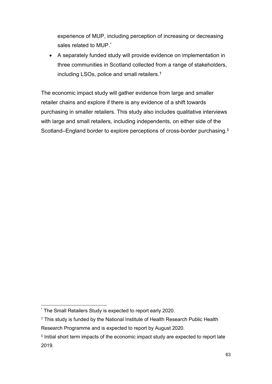experience of MUP, including perception of increasing or decreasing sales related to MUP.<sup>[\\*](#page-64-0)</sup>

• A separately funded study will provide evidence on implementation in three communities in Scotland collected from a range of stakeholders, including LSOs, police and small retailers.[†](#page-64-1)

The economic impact study will gather evidence from large and smaller retailer chains and explore if there is any evidence of a shift towards purchasing in smaller retailers. This study also includes qualitative interviews with large and small retailers, including independents, on either side of the Scotland–England border to explore perceptions of cross-border purchasing.[‡](#page-64-2)

<span id="page-64-0"></span> <sup>\*</sup> The Small Retailers Study is expected to report early 2020.

<span id="page-64-1"></span><sup>†</sup> This study is funded by the National Institute of Health Research Public Health Research Programme and is expected to report by August 2020.

<span id="page-64-2"></span><sup>‡</sup> Initial short term impacts of the economic impact study are expected to report late 2019.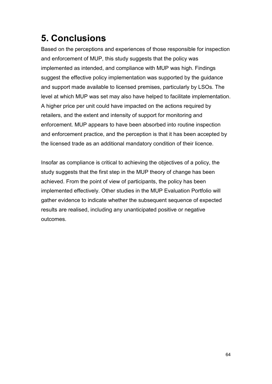# **5. Conclusions**

Based on the perceptions and experiences of those responsible for inspection and enforcement of MUP, this study suggests that the policy was implemented as intended, and compliance with MUP was high. Findings suggest the effective policy implementation was supported by the guidance and support made available to licensed premises, particularly by LSOs. The level at which MUP was set may also have helped to facilitate implementation. A higher price per unit could have impacted on the actions required by retailers, and the extent and intensity of support for monitoring and enforcement. MUP appears to have been absorbed into routine inspection and enforcement practice, and the perception is that it has been accepted by the licensed trade as an additional mandatory condition of their licence.

Insofar as compliance is critical to achieving the objectives of a policy, the study suggests that the first step in the MUP theory of change has been achieved. From the point of view of participants, the policy has been implemented effectively. Other studies in the MUP Evaluation Portfolio will gather evidence to indicate whether the subsequent sequence of expected results are realised, including any unanticipated positive or negative outcomes.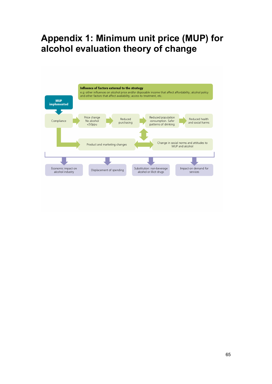# **Appendix 1: Minimum unit price (MUP) for alcohol evaluation theory of change**

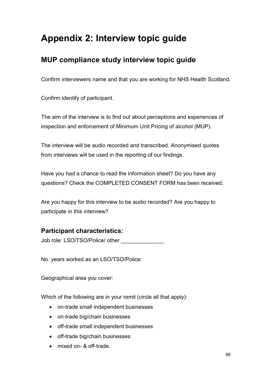# **Appendix 2: Interview topic guide**

# **MUP compliance study interview topic guide**

Confirm interviewers name and that you are working for NHS Health Scotland.

Confirm identify of participant.

The aim of the interview is to find out about perceptions and experiences of inspection and enforcement of Minimum Unit Pricing of alcohol (MUP).

The interview will be audio recorded and transcribed. Anonymised quotes from interviews will be used in the reporting of our findings.

Have you had a chance to read the information sheet? Do you have any questions? Check the COMPLETED CONSENT FORM has been received.

Are you happy for this interview to be audio recorded? Are you happy to participate in this interview?

# **Participant characteristics:**

Job role: LSO/TSO/Police/ other

No. years worked as an LSO/TSO/Police:

Geographical area you cover:

Which of the following are in your remit (circle all that apply):

- on-trade small independent businesses
- on-trade big/chain businesses
- off-trade small independent businesses
- off-trade big/chain businesses
- mixed on- & off-trade.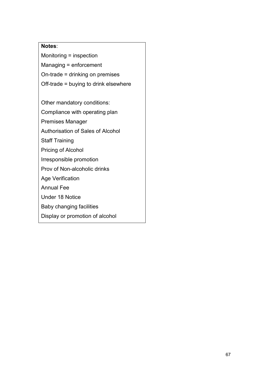## **Notes**:

Monitoring = inspection Managing = enforcement On-trade = drinking on premises Off-trade = buying to drink elsewhere

Other mandatory conditions:

Compliance with operating plan

Premises Manager

Authorisation of Sales of Alcohol

Staff Training

Pricing of Alcohol

Irresponsible promotion

Prov of Non-alcoholic drinks

Age Verification

Annual Fee

Under 18 Notice

Baby changing facilities

Display or promotion of alcohol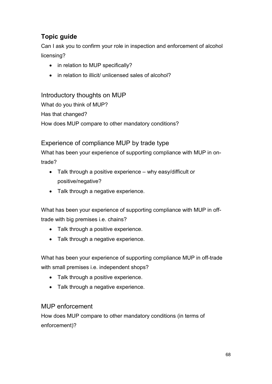# **Topic guide**

Can I ask you to confirm your role in inspection and enforcement of alcohol licensing?

- in relation to MUP specifically?
- in relation to illicit/ unlicensed sales of alcohol?

## Introductory thoughts on MUP

What do you think of MUP? Has that changed? How does MUP compare to other mandatory conditions?

# Experience of compliance MUP by trade type

What has been your experience of supporting compliance with MUP in ontrade?

- Talk through a positive experience why easy/difficult or positive/negative?
- Talk through a negative experience.

What has been your experience of supporting compliance with MUP in offtrade with big premises i.e. chains?

- Talk through a positive experience.
- Talk through a negative experience.

What has been your experience of supporting compliance MUP in off-trade with small premises i.e. independent shops?

- Talk through a positive experience.
- Talk through a negative experience.

# MUP enforcement

How does MUP compare to other mandatory conditions (in terms of enforcement)?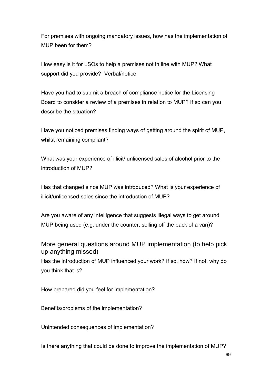For premises with ongoing mandatory issues, how has the implementation of MUP been for them?

How easy is it for LSOs to help a premises not in line with MUP? What support did you provide? Verbal/notice

Have you had to submit a breach of compliance notice for the Licensing Board to consider a review of a premises in relation to MUP? If so can you describe the situation?

Have you noticed premises finding ways of getting around the spirit of MUP, whilst remaining compliant?

What was your experience of illicit/ unlicensed sales of alcohol prior to the introduction of MUP?

Has that changed since MUP was introduced? What is your experience of illicit/unlicensed sales since the introduction of MUP?

Are you aware of any intelligence that suggests illegal ways to get around MUP being used (e.g. under the counter, selling off the back of a van)?

More general questions around MUP implementation (to help pick up anything missed) Has the introduction of MUP influenced your work? If so, how? If not, why do you think that is?

How prepared did you feel for implementation?

Benefits/problems of the implementation?

Unintended consequences of implementation?

Is there anything that could be done to improve the implementation of MUP?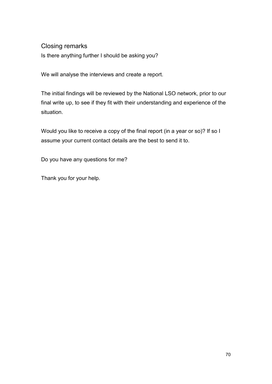## Closing remarks

Is there anything further I should be asking you?

We will analyse the interviews and create a report.

The initial findings will be reviewed by the National LSO network, prior to our final write up, to see if they fit with their understanding and experience of the situation.

Would you like to receive a copy of the final report (in a year or so)? If so I assume your current contact details are the best to send it to.

Do you have any questions for me?

Thank you for your help.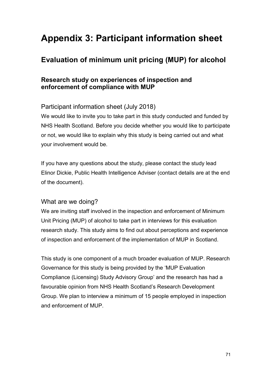# **Appendix 3: Participant information sheet**

### **Evaluation of minimum unit pricing (MUP) for alcohol**

### **Research study on experiences of inspection and enforcement of compliance with MUP**

### Participant information sheet (July 2018)

We would like to invite you to take part in this study conducted and funded by NHS Health Scotland. Before you decide whether you would like to participate or not, we would like to explain why this study is being carried out and what your involvement would be.

If you have any questions about the study, please contact the study lead Elinor Dickie, Public Health Intelligence Adviser (contact details are at the end of the document).

#### What are we doing?

We are inviting staff involved in the inspection and enforcement of Minimum Unit Pricing (MUP) of alcohol to take part in interviews for this evaluation research study. This study aims to find out about perceptions and experience of inspection and enforcement of the implementation of MUP in Scotland.

This study is one component of a much broader evaluation of MUP. Research Governance for this study is being provided by the 'MUP Evaluation Compliance (Licensing) Study Advisory Group' and the research has had a favourable opinion from NHS Health Scotland's Research Development Group. We plan to interview a minimum of 15 people employed in inspection and enforcement of MUP.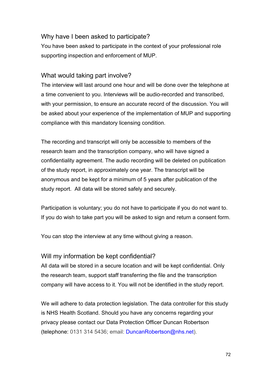#### Why have I been asked to participate?

You have been asked to participate in the context of your professional role supporting inspection and enforcement of MUP.

#### What would taking part involve?

The interview will last around one hour and will be done over the telephone at a time convenient to you. Interviews will be audio-recorded and transcribed, with your permission, to ensure an accurate record of the discussion. You will be asked about your experience of the implementation of MUP and supporting compliance with this mandatory licensing condition.

The recording and transcript will only be accessible to members of the research team and the transcription company, who will have signed a confidentiality agreement. The audio recording will be deleted on publication of the study report, in approximately one year. The transcript will be anonymous and be kept for a minimum of 5 years after publication of the study report. All data will be stored safely and securely.

Participation is voluntary; you do not have to participate if you do not want to. If you do wish to take part you will be asked to sign and return a consent form.

You can stop the interview at any time without giving a reason.

#### Will my information be kept confidential?

All data will be stored in a secure location and will be kept confidential. Only the research team, support staff transferring the file and the transcription company will have access to it. You will not be identified in the study report.

We will adhere to data protection legislation. The data controller for this study is NHS Health Scotland. Should you have any concerns regarding your privacy please contact our Data Protection Officer Duncan Robertson (telephone: 0131 314 5436; email: [DuncanRobertson@nhs.net\)](mailto:DuncanRobertson@nhs.net).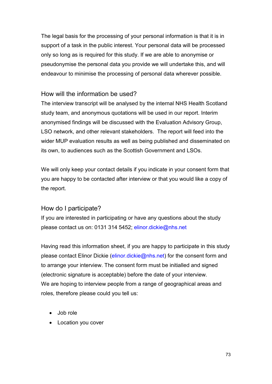The legal basis for the processing of your personal information is that it is in support of a task in the public interest. Your personal data will be processed only so long as is required for this study. If we are able to anonymise or pseudonymise the personal data you provide we will undertake this, and will endeavour to minimise the processing of personal data wherever possible.

#### How will the information be used?

The interview transcript will be analysed by the internal NHS Health Scotland study team, and anonymous quotations will be used in our report. Interim anonymised findings will be discussed with the Evaluation Advisory Group, LSO network, and other relevant stakeholders. The report will feed into the wider MUP evaluation results as well as being published and disseminated on its own, to audiences such as the Scottish Government and LSOs.

We will only keep your contact details if you indicate in your consent form that you are happy to be contacted after interview or that you would like a copy of the report.

#### How do I participate?

If you are interested in participating or have any questions about the study please contact us on: 0131 314 5452; [elinor.dickie@nhs.net](mailto:elinor.dickie@nhs.net)

Having read this information sheet, if you are happy to participate in this study please contact Elinor Dickie [\(elinor.dickie@nhs.net\)](mailto:elinor.dickie@nhs.net) for the consent form and to arrange your interview. The consent form must be initialled and signed (electronic signature is acceptable) before the date of your interview. We are hoping to interview people from a range of geographical areas and roles, therefore please could you tell us:

- Job role
- Location you cover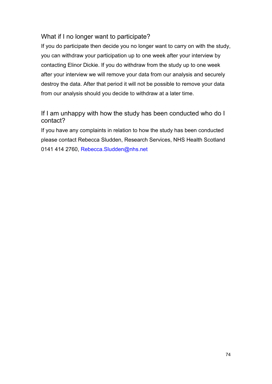#### What if I no longer want to participate?

If you do participate then decide you no longer want to carry on with the study, you can withdraw your participation up to one week after your interview by contacting Elinor Dickie. If you do withdraw from the study up to one week after your interview we will remove your data from our analysis and securely destroy the data. After that period it will not be possible to remove your data from our analysis should you decide to withdraw at a later time.

### If I am unhappy with how the study has been conducted who do I contact?

If you have any complaints in relation to how the study has been conducted please contact Rebecca Sludden, Research Services, NHS Health Scotland 0141 414 2760, [Rebecca.Sludden@nhs.net](mailto:Rebecca.Sludden@nhs.net)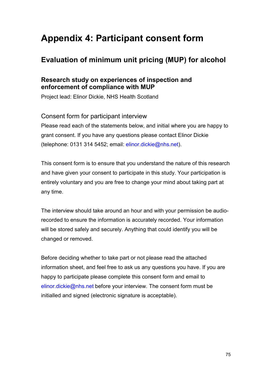# **Appendix 4: Participant consent form**

### **Evaluation of minimum unit pricing (MUP) for alcohol**

#### **Research study on experiences of inspection and enforcement of compliance with MUP**

Project lead: Elinor Dickie, NHS Health Scotland

Consent form for participant interview Please read each of the statements below, and initial where you are happy to grant consent. If you have any questions please contact Elinor Dickie (telephone: 0131 314 5452; email: [elinor.dickie@nhs.net\)](mailto:elinor.dickie@nhs.net).

This consent form is to ensure that you understand the nature of this research and have given your consent to participate in this study. Your participation is entirely voluntary and you are free to change your mind about taking part at any time.

The interview should take around an hour and with your permission be audiorecorded to ensure the information is accurately recorded. Your information will be stored safely and securely. Anything that could identify you will be changed or removed.

Before deciding whether to take part or not please read the attached information sheet, and feel free to ask us any questions you have. If you are happy to participate please complete this consent form and email to [elinor.dickie@nhs.net](mailto:elinor.dickie@nhs.net) before your interview. The consent form must be initialled and signed (electronic signature is acceptable).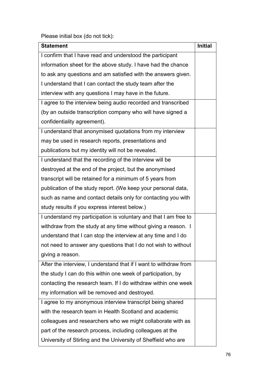Please initial box (do not tick):

| <b>Statement</b>                                                  | <b>Initial</b> |
|-------------------------------------------------------------------|----------------|
| I confirm that I have read and understood the participant         |                |
| information sheet for the above study. I have had the chance      |                |
| to ask any questions and am satisfied with the answers given.     |                |
| I understand that I can contact the study team after the          |                |
| interview with any questions I may have in the future.            |                |
| I agree to the interview being audio recorded and transcribed     |                |
| (by an outside transcription company who will have signed a       |                |
| confidentiality agreement).                                       |                |
| I understand that anonymised quotations from my interview         |                |
| may be used in research reports, presentations and                |                |
| publications but my identity will not be revealed.                |                |
| I understand that the recording of the interview will be          |                |
| destroyed at the end of the project, but the anonymised           |                |
| transcript will be retained for a minimum of 5 years from         |                |
| publication of the study report. (We keep your personal data,     |                |
| such as name and contact details only for contacting you with     |                |
| study results if you express interest below.)                     |                |
| I understand my participation is voluntary and that I am free to  |                |
| withdraw from the study at any time without giving a reason. I    |                |
| understand that I can stop the interview at any time and I do     |                |
| not need to answer any questions that I do not wish to without    |                |
| giving a reason.                                                  |                |
| After the interview, I understand that if I want to withdraw from |                |
| the study I can do this within one week of participation, by      |                |
| contacting the research team. If I do withdraw within one week    |                |
| my information will be removed and destroyed.                     |                |
| I agree to my anonymous interview transcript being shared         |                |
| with the research team in Health Scotland and academic            |                |
| colleagues and researchers who we might collaborate with as       |                |
| part of the research process, including colleagues at the         |                |
| University of Stirling and the University of Sheffield who are    |                |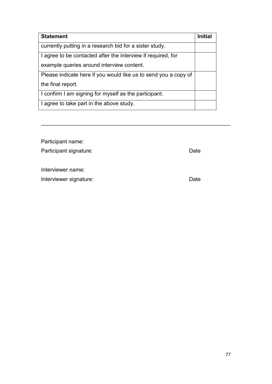| <b>Statement</b>                                                | <b>Initial</b> |
|-----------------------------------------------------------------|----------------|
| currently putting in a research bid for a sister study.         |                |
| I agree to be contacted after the interview if required, for    |                |
| example queries around interview content.                       |                |
| Please indicate here if you would like us to send you a copy of |                |
| the final report.                                               |                |
| I confirm I am signing for myself as the participant.           |                |
| I agree to take part in the above study.                        |                |

| Participant name:      |      |
|------------------------|------|
| Participant signature: | Date |
|                        |      |
| Interviewer name:      |      |
| Interviewer signature: | Date |
|                        |      |

\_\_\_\_\_\_\_\_\_\_\_\_\_\_\_\_\_\_\_\_\_\_\_\_\_\_\_\_\_\_\_\_\_\_\_\_\_\_\_\_\_\_\_\_\_\_\_\_\_\_\_\_\_\_\_\_\_\_\_\_\_\_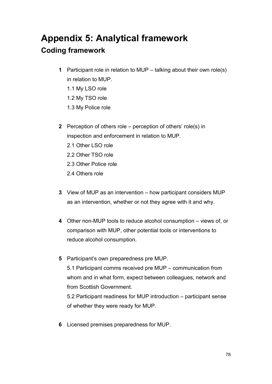# **Appendix 5: Analytical framework Coding framework**

- **1** Participant role in relation to MUP talking about their own role(s) in relation to MUP.
	- 1.1 My LSO role
	- 1.2 My TSO role
	- 1.3 My Police role
- **2** Perception of others role perception of others' role(s) in inspection and enforcement in relation to MUP.
	- 2.1 Other LSO role
	- 2.2 Other TSO role
	- 2.3 Other Police role
	- 2.4 Others role
- **3** View of MUP as an intervention how participant considers MUP as an intervention, whether or not they agree with it and why.
- **4** Other non-MUP tools to reduce alcohol consumption views of, or comparison with MUP, other potential tools or interventions to reduce alcohol consumption.
- **5** Participant's own preparedness pre MUP. 5.1 Participant comms received pre MUP – communication from whom and in what form, expect between colleagues, network and from Scottish Government.

5.2 Participant readiness for MUP introduction – participant sense of whether they were ready for MUP.

**6** Licensed premises preparedness for MUP.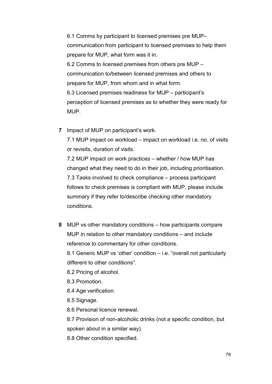6.1 Comms by participant to licensed premises pre MUP– communication from participant to licensed premises to help them prepare for MUP, what form was it in. 6.2 Comms to licensed premises from others pre MUP – communication to/between licensed premises and others to prepare for MUP, from whom and in what form. 6.3 Licensed premises readiness for MUP – participant's perception of licensed premises as to whether they were ready for MUP.

**7** Impact of MUP on participant's work.

7.1 MUP impact on workload – impact on workload i.e. no. of visits or revisits, duration of visits.

7.2 MUP impact on work practices – whether / how MUP has changed what they need to do in their job, including prioritisation. 7.3 Tasks involved to check compliance – process participant follows to check premises is compliant with MUP, please include summary if they refer to/describe checking other mandatory conditions.

**8** MUP vs other mandatory conditions – how participants compare MUP in relation to other mandatory conditions – and include reference to commentary for other conditions.

8.1 Generic MUP vs 'other' condition – i.e. "overall not particularly different to other conditions".

8.2 Pricing of alcohol.

8.3 Promotion.

8.4 Age verification.

8.5 Signage.

8.6 Personal licence renewal.

8.7 Provision of non-alcoholic drinks (not a specific condition, but spoken about in a similar way).

8.8 Other condition specified.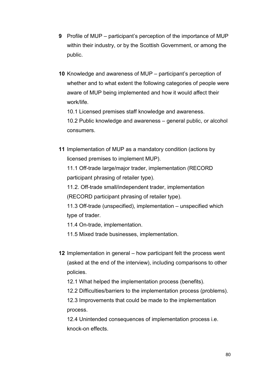- **9** Profile of MUP participant's perception of the importance of MUP within their industry, or by the Scottish Government, or among the public.
- **10** Knowledge and awareness of MUP participant's perception of whether and to what extent the following categories of people were aware of MUP being implemented and how it would affect their work/life.

10.1 Licensed premises staff knowledge and awareness.

10.2 Public knowledge and awareness – general public, or alcohol consumers.

**11** Implementation of MUP as a mandatory condition (actions by licensed premises to implement MUP).

11.1 Off-trade large/major trader, implementation (RECORD participant phrasing of retailer type).

11.2. Off-trade small/independent trader, implementation (RECORD participant phrasing of retailer type).

11.3 Off-trade (unspecified), implementation – unspecified which type of trader.

11.4 On-trade, implementation.

- 11.5 Mixed trade businesses, implementation.
- **12** Implementation in general how participant felt the process went (asked at the end of the interview), including comparisons to other policies.

12.1 What helped the implementation process (benefits).

12.2 Difficulties/barriers to the implementation process (problems).

12.3 Improvements that could be made to the implementation process.

12.4 Unintended consequences of implementation process i.e. knock-on effects.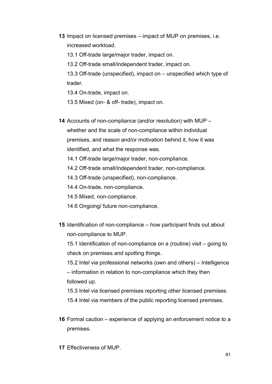- **13** Impact on licensed premises impact of MUP on premises, i.e. increased workload.
	- 13.1 Off-trade large/major trader, impact on.
	- 13.2 Off-trade small/independent trader, impact on.

13.3 Off-trade (unspecified), impact on – unspecified which type of trader.

13.4 On-trade, impact on.

13.5 Mixed (on- & off- trade), impact on.

**14** Accounts of non-compliance (and/or resolution) with MUP – whether and the scale of non-compliance within individual premises, and reason and/or motivation behind it, how it was identified, and what the response was.

14.1 Off-trade large/major trader, non-compliance.

14.2 Off-trade small/independent trader, non-compliance.

14.3 Off-trade (unspecified), non-compliance.

14.4 On-trade, non-compliance.

14.5 Mixed, non-compliance.

- 14.6 Ongoing/ future non-compliance.
- **15** Identification of non-compliance how participant finds out about non-compliance to MUP.

15.1 Identification of non-compliance on a (routine) visit – going to check on premises and spotting things.

15.2 Intel via professional networks (own and others) – Intelligence – information in relation to non-compliance which they then followed up.

15.3 Intel via licensed premises reporting other licensed premises.

15.4 Intel via members of the public reporting licensed premises.

**16** Formal caution – experience of applying an enforcement notice to a premises.

**17** Effectiveness of MUP.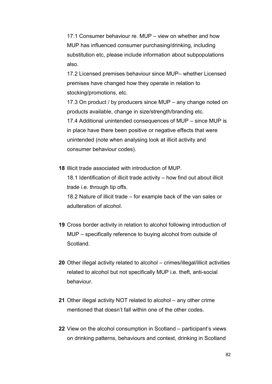17.1 Consumer behaviour re. MUP – view on whether and how MUP has influenced consumer purchasing/drinking, including substitution etc, please include information about subpopulations also.

17.2 Licensed premises behaviour since MUP– whether Licensed premises have changed how they operate in relation to stocking/promotions, etc.

17.3 On product / by producers since MUP – any change noted on products available, change in size/strength/branding etc. 17.4 Additional unintended consequences of MUP – since MUP is in place have there been positive or negative effects that were unintended (note when analysing look at illicit activity and consumer behaviour codes).

**18** Illicit trade associated with introduction of MUP.

18.1 Identification of illicit trade activity – how find out about illicit trade i.e. through tip offs.

18.2 Nature of illicit trade – for example back of the van sales or adulteration of alcohol.

- **19** Cross border activity in relation to alcohol following introduction of MUP – specifically reference to buying alcohol from outside of **Scotland**
- **20** Other illegal activity related to alcohol crimes/illegal/illicit activities related to alcohol but not specifically MUP i.e. theft, anti-social behaviour.
- **21** Other illegal activity NOT related to alcohol any other crime mentioned that doesn't fall within one of the other codes.
- **22** View on the alcohol consumption in Scotland participant's views on drinking patterns, behaviours and context, drinking in Scotland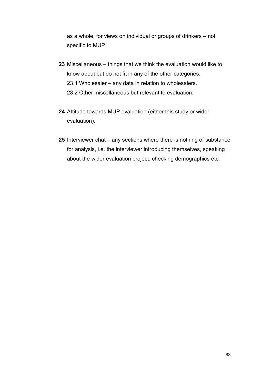as a whole, for views on individual or groups of drinkers – not specific to MUP.

- **23** Miscellaneous things that we think the evaluation would like to know about but do not fit in any of the other categories. 23.1 Wholesaler – any data in relation to wholesalers. 23.2 Other miscellaneous but relevant to evaluation.
- **24** Attitude towards MUP evaluation (either this study or wider evaluation).
- **25** Interviewer chat any sections where there is nothing of substance for analysis, i.e. the interviewer introducing themselves, speaking about the wider evaluation project, checking demographics etc.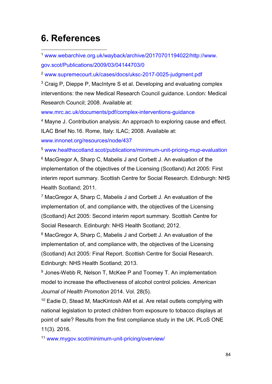## **6. References**

 1 [www.webarchive.org.uk/wayback/archive/20170701194022/http://www.](http://www.webarchive.org.uk/wayback/archive/20170701194022/http:/www.gov.scot/Publications/2009/03/04144703/0) [gov.scot/Publications/2009/03/04144703/0](http://www.webarchive.org.uk/wayback/archive/20170701194022/http:/www.gov.scot/Publications/2009/03/04144703/0)

<sup>2</sup> [www.supremecourt.uk/cases/docs/uksc-2017-0025-judgment.pdf](http://www.supremecourt.uk/cases/docs/uksc-2017-0025-judgment.pdf)

<sup>3</sup> Craig P, Dieppe P, MacIntyre S et al. Developing and evaluating complex interventions: the new Medical Research Council guidance. London: Medical Research Council; 2008. Available at:

[www.mrc.ac.uk/documents/pdf/complex-interventions-guidance](http://www.mrc.ac.uk/documents/pdf/complex-interventions-guidance/)

<sup>4</sup> Mayne J. Contribution analysis: An approach to exploring cause and effect. ILAC Brief No.16. Rome, Italy: ILAC; 2008. Available at: [www.innonet.org/resources/node/437](http://www.innonet.org/resources/node/437)

<sup>5</sup> [www.healthscotland.scot/publications/minimum-unit-pricing-mup-evaluation](http://www.healthscotland.scot/publications/minimum-unit-pricing-mup-evaluation)

<sup>6</sup> MacGregor A, Sharp C, Mabelis J and Corbett J. An evaluation of the implementation of the objectives of the Licensing (Scotland) Act 2005: First interim report summary. Scottish Centre for Social Research. Edinburgh: NHS Health Scotland; 2011.

<sup>7</sup> MacGregor A, Sharp C, Mabelis J and Corbett J. An evaluation of the implementation of, and compliance with, the objectives of the Licensing (Scotland) Act 2005: Second interim report summary. Scottish Centre for Social Research. Edinburgh: NHS Health Scotland; 2012.

<sup>8</sup> MacGregor A, Sharp C, Mabelis J and Corbett J. An evaluation of the implementation of, and compliance with, the objectives of the Licensing (Scotland) Act 2005: Final Report. Scottish Centre for Social Research. Edinburgh: NHS Health Scotland; 2013.

<sup>9</sup> Jones-Webb R, Nelson T, McKee P and Toomey T. An implementation model to increase the effectiveness of alcohol control policies. *American Journal of Health Promotion* 2014. Vol. 28(5).

<sup>10</sup> Eadie D, Stead M, MacKintosh AM et al. Are retail outlets complying with national legislation to protect children from exposure to tobacco displays at point of sale? Results from the first compliance study in the UK. PLoS ONE 11(3). 2016.

<sup>11</sup> www.mygov.scot/minimum-unit-pricing/overview/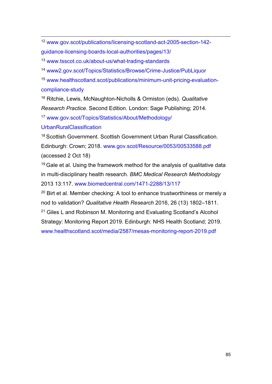12 [www.gov.scot/publications/licensing-scotland-act-2005-section-142](http://www.gov.scot/publications/licensing-scotland-act-2005-section-142-guidance-licensing-boards-local-authorities/pages/13/) [guidance-licensing-boards-local-authorities/pages/13/](http://www.gov.scot/publications/licensing-scotland-act-2005-section-142-guidance-licensing-boards-local-authorities/pages/13/)

<sup>13</sup> [www.tsscot.co.uk/about-us/what-trading-standards](http://www.tsscot.co.uk/about-us/what-trading-standards)

<sup>14</sup> [www2.gov.scot/Topics/Statistics/Browse/Crime-Justice/PubLiquor](https://www2.gov.scot/Topics/Statistics/Browse/Crime-Justice/PubLiquor)

<sup>15</sup> [www.healthscotland.scot/publications/minimum-unit-pricing-evaluation](http://www.healthscotland.scot/publications/minimum-unit-pricing-evaluation-compliance-study)[compliance-study](http://www.healthscotland.scot/publications/minimum-unit-pricing-evaluation-compliance-study)

<sup>16</sup> Ritchie, Lewis, McNaughton-Nicholls & Ormiston (eds). *Qualitative Research Practice*. Second Edition. London: Sage Publishing; 2014.

<sup>17</sup> [www.gov.scot/Topics/Statistics/About/Methodology/](http://www.gov.scot/Topics/Statistics/About/Methodology/UrbanRuralClassification)

**[UrbanRuralClassification](http://www.gov.scot/Topics/Statistics/About/Methodology/UrbanRuralClassification)** 

<sup>18</sup> Scottish Government. Scottish Government Urban Rural Classification. Edinburgh: Crown; 2018. [www.gov.scot/Resource/0053/00533588.pdf](http://www.gov.scot/Resource/0053/00533588.pdf) (accessed 2 Oct 18)

 $19$  Gale et al. Using the framework method for the analysis of qualitative data in multi-disciplinary health research. *BMC Medical Research Methodology* 2013 13:117. [www.biomedcentral.com/1471-2288/13/117](http://www.biomedcentral.com/1471-2288/13/117)

<sup>20</sup> Birt et al. Member checking: A tool to enhance trustworthiness or merely a nod to validation? *Qualitative Health Research* 2016, 26 (13) 1802–1811. <sup>21</sup> Giles L and Robinson M. Monitoring and Evaluating Scotland's Alcohol Strategy: Monitoring Report 2019. Edinburgh: NHS Health Scotland; 2019. [www.healthscotland.scot/media/2587/mesas-monitoring-report-2019.pdf](http://www.healthscotland.scot/media/2587/mesas-monitoring-report-2019.pdf)